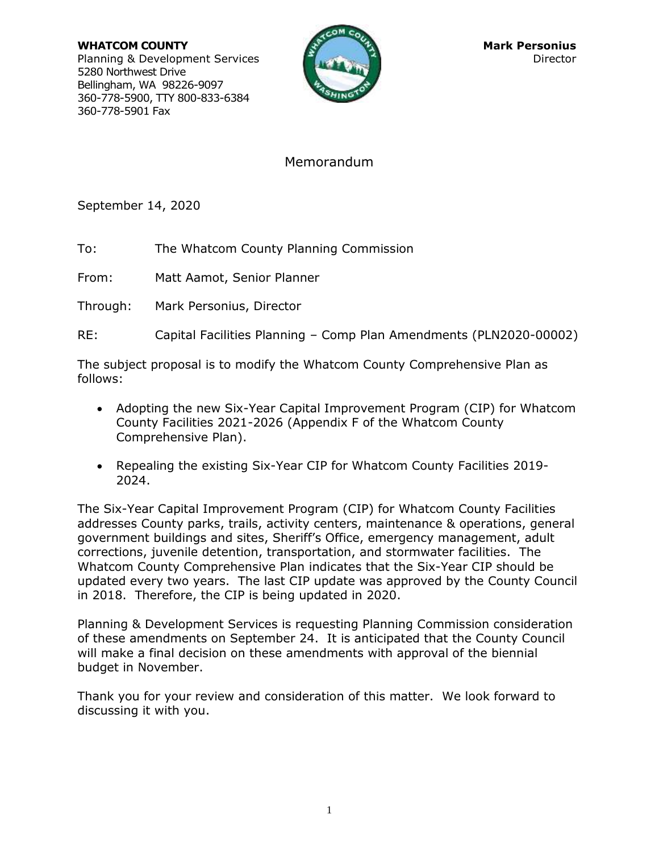**WHATCOM COUNTY Mark Personius Mark Personius** Planning & Development Services Director Director 5280 Northwest Drive Bellingham, WA 98226-9097 360-778-5900, TTY 800-833-6384 360-778-5901 Fax



# Memorandum

September 14, 2020

To: The Whatcom County Planning Commission

From: Matt Aamot, Senior Planner

Through: Mark Personius, Director

RE: Capital Facilities Planning – Comp Plan Amendments (PLN2020-00002)

The subject proposal is to modify the Whatcom County Comprehensive Plan as follows:

- Adopting the new Six-Year Capital Improvement Program (CIP) for Whatcom County Facilities 2021-2026 (Appendix F of the Whatcom County Comprehensive Plan).
- Repealing the existing Six-Year CIP for Whatcom County Facilities 2019-2024.

The Six-Year Capital Improvement Program (CIP) for Whatcom County Facilities addresses County parks, trails, activity centers, maintenance & operations, general government buildings and sites, Sheriff's Office, emergency management, adult corrections, juvenile detention, transportation, and stormwater facilities. The Whatcom County Comprehensive Plan indicates that the Six-Year CIP should be updated every two years. The last CIP update was approved by the County Council in 2018. Therefore, the CIP is being updated in 2020.

Planning & Development Services is requesting Planning Commission consideration of these amendments on September 24. It is anticipated that the County Council will make a final decision on these amendments with approval of the biennial budget in November.

Thank you for your review and consideration of this matter. We look forward to discussing it with you.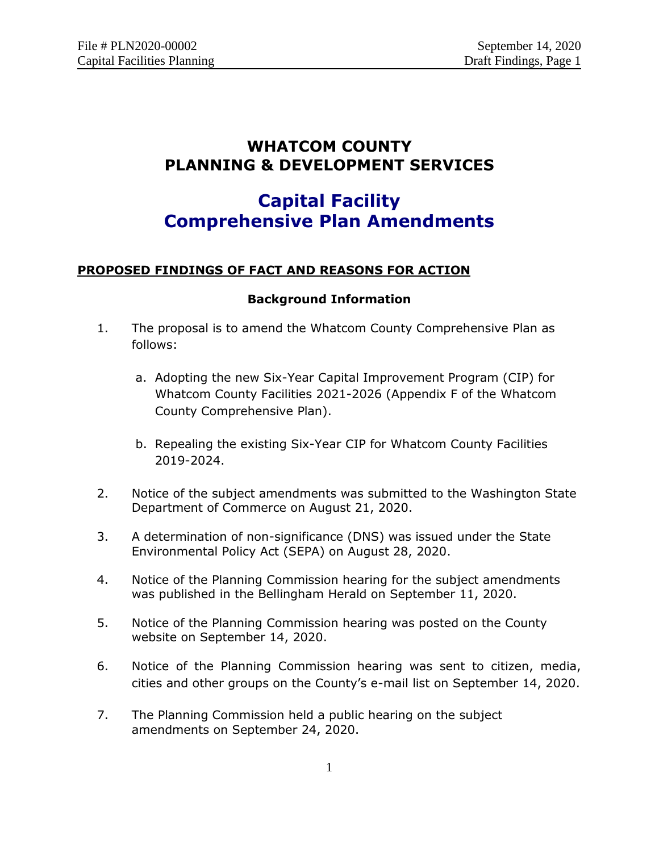# **WHATCOM COUNTY PLANNING & DEVELOPMENT SERVICES**

# **Capital Facility Comprehensive Plan Amendments**

# **PROPOSED FINDINGS OF FACT AND REASONS FOR ACTION**

# **Background Information**

- 1. The proposal is to amend the Whatcom County Comprehensive Plan as follows:
	- a. Adopting the new Six-Year Capital Improvement Program (CIP) for Whatcom County Facilities 2021-2026 (Appendix F of the Whatcom County Comprehensive Plan).
	- b. Repealing the existing Six-Year CIP for Whatcom County Facilities 2019-2024.
- 2. Notice of the subject amendments was submitted to the Washington State Department of Commerce on August 21, 2020.
- 3. A determination of non-significance (DNS) was issued under the State Environmental Policy Act (SEPA) on August 28, 2020.
- 4. Notice of the Planning Commission hearing for the subject amendments was published in the Bellingham Herald on September 11, 2020.
- 5. Notice of the Planning Commission hearing was posted on the County website on September 14, 2020.
- 6. Notice of the Planning Commission hearing was sent to citizen, media, cities and other groups on the County's e-mail list on September 14, 2020.
- 7. The Planning Commission held a public hearing on the subject amendments on September 24, 2020.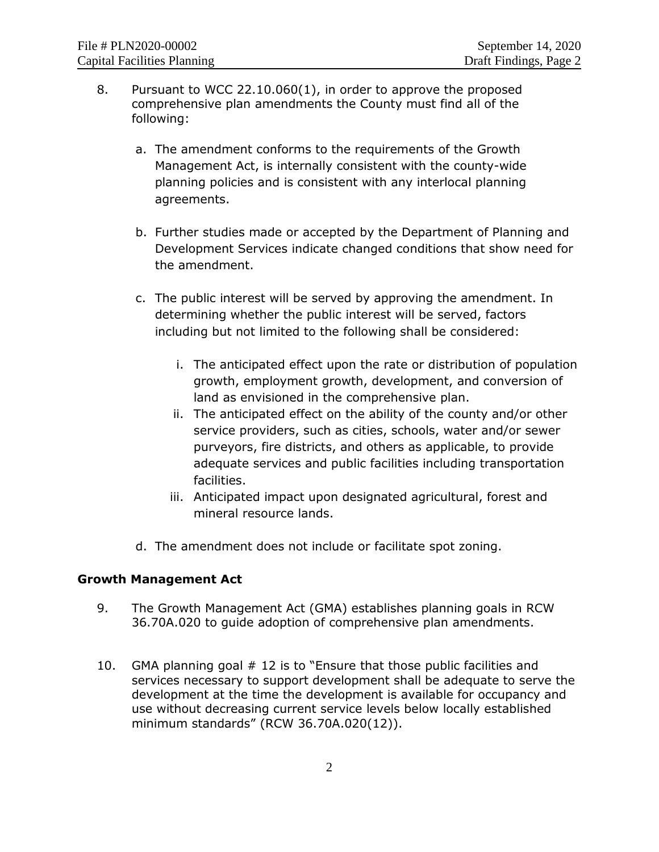- 8. Pursuant to WCC 22.10.060(1), in order to approve the proposed comprehensive plan amendments the County must find all of the following:
	- a. The amendment conforms to the requirements of the Growth Management Act, is internally consistent with the county-wide planning policies and is consistent with any interlocal planning agreements.
	- b. Further studies made or accepted by the Department of Planning and Development Services indicate changed conditions that show need for the amendment.
	- c. The public interest will be served by approving the amendment. In determining whether the public interest will be served, factors including but not limited to the following shall be considered:
		- i. The anticipated effect upon the rate or distribution of population growth, employment growth, development, and conversion of land as envisioned in the comprehensive plan.
		- ii. The anticipated effect on the ability of the county and/or other service providers, such as cities, schools, water and/or sewer purveyors, fire districts, and others as applicable, to provide adequate services and public facilities including transportation facilities.
		- iii. Anticipated impact upon designated agricultural, forest and mineral resource lands.
	- d. The amendment does not include or facilitate spot zoning.

# **Growth Management Act**

- 9. The Growth Management Act (GMA) establishes planning goals in RCW 36.70A.020 to guide adoption of comprehensive plan amendments.
- 10. GMA planning goal # 12 is to "Ensure that those public facilities and services necessary to support development shall be adequate to serve the development at the time the development is available for occupancy and use without decreasing current service levels below locally established minimum standards" (RCW 36.70A.020(12)).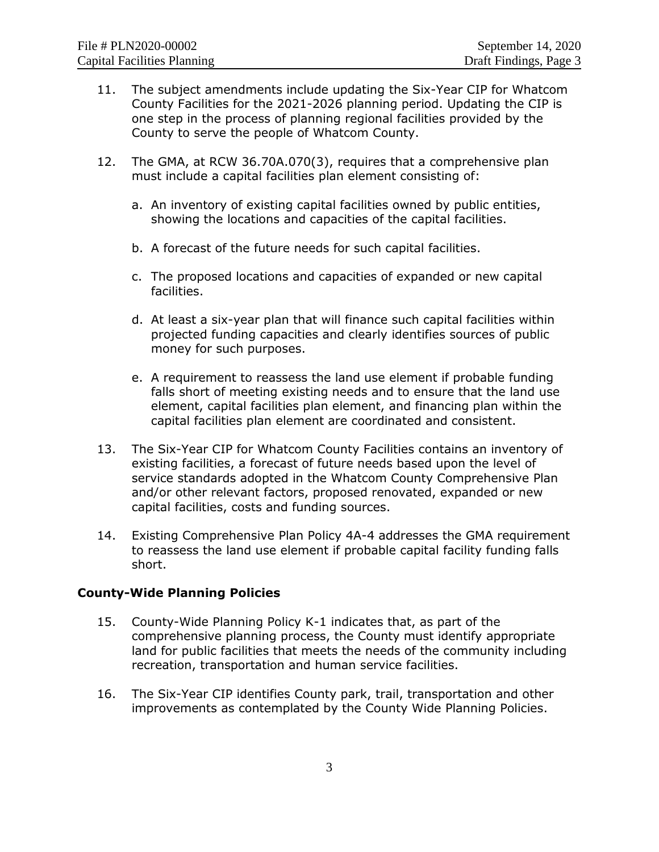- 11. The subject amendments include updating the Six-Year CIP for Whatcom County Facilities for the 2021-2026 planning period. Updating the CIP is one step in the process of planning regional facilities provided by the County to serve the people of Whatcom County.
- 12. The GMA, at RCW 36.70A.070(3), requires that a comprehensive plan must include a capital facilities plan element consisting of:
	- a. An inventory of existing capital facilities owned by public entities, showing the locations and capacities of the capital facilities.
	- b. A forecast of the future needs for such capital facilities.
	- c. The proposed locations and capacities of expanded or new capital facilities.
	- d. At least a six-year plan that will finance such capital facilities within projected funding capacities and clearly identifies sources of public money for such purposes.
	- e. A requirement to reassess the land use element if probable funding falls short of meeting existing needs and to ensure that the land use element, capital facilities plan element, and financing plan within the capital facilities plan element are coordinated and consistent.
- 13. The Six-Year CIP for Whatcom County Facilities contains an inventory of existing facilities, a forecast of future needs based upon the level of service standards adopted in the Whatcom County Comprehensive Plan and/or other relevant factors, proposed renovated, expanded or new capital facilities, costs and funding sources.
- 14. Existing Comprehensive Plan Policy 4A-4 addresses the GMA requirement to reassess the land use element if probable capital facility funding falls short.

### **County-Wide Planning Policies**

- 15. County-Wide Planning Policy K-1 indicates that, as part of the comprehensive planning process, the County must identify appropriate land for public facilities that meets the needs of the community including recreation, transportation and human service facilities.
- 16. The Six-Year CIP identifies County park, trail, transportation and other improvements as contemplated by the County Wide Planning Policies.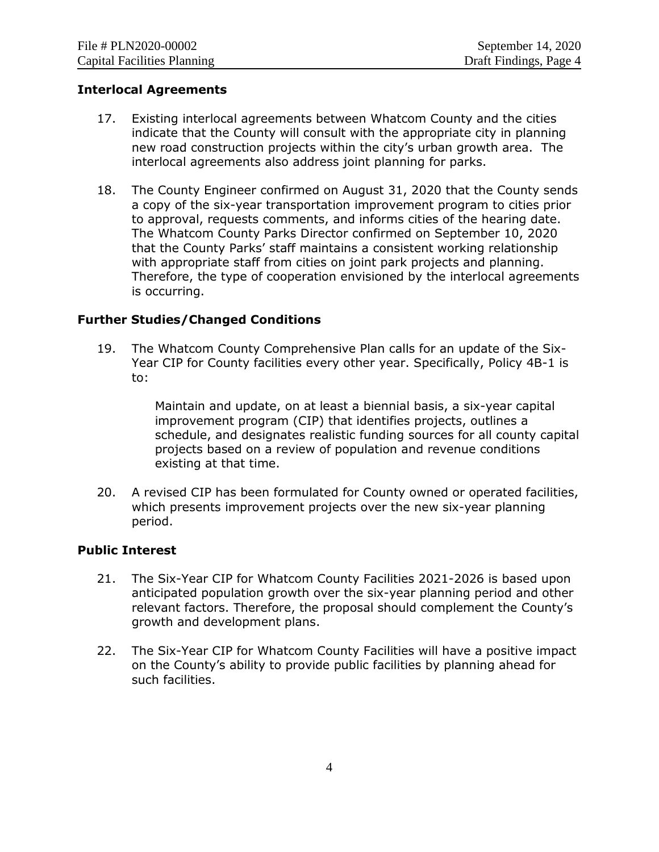### **Interlocal Agreements**

- 17. Existing interlocal agreements between Whatcom County and the cities indicate that the County will consult with the appropriate city in planning new road construction projects within the city's urban growth area. The interlocal agreements also address joint planning for parks.
- 18. The County Engineer confirmed on August 31, 2020 that the County sends a copy of the six-year transportation improvement program to cities prior to approval, requests comments, and informs cities of the hearing date. The Whatcom County Parks Director confirmed on September 10, 2020 that the County Parks' staff maintains a consistent working relationship with appropriate staff from cities on joint park projects and planning. Therefore, the type of cooperation envisioned by the interlocal agreements is occurring.

### **Further Studies/Changed Conditions**

19. The Whatcom County Comprehensive Plan calls for an update of the Six-Year CIP for County facilities every other year. Specifically, Policy 4B-1 is to:

> Maintain and update, on at least a biennial basis, a six-year capital improvement program (CIP) that identifies projects, outlines a schedule, and designates realistic funding sources for all county capital projects based on a review of population and revenue conditions existing at that time.

20. A revised CIP has been formulated for County owned or operated facilities, which presents improvement projects over the new six-year planning period.

### **Public Interest**

- 21. The Six-Year CIP for Whatcom County Facilities 2021-2026 is based upon anticipated population growth over the six-year planning period and other relevant factors. Therefore, the proposal should complement the County's growth and development plans.
- 22. The Six-Year CIP for Whatcom County Facilities will have a positive impact on the County's ability to provide public facilities by planning ahead for such facilities.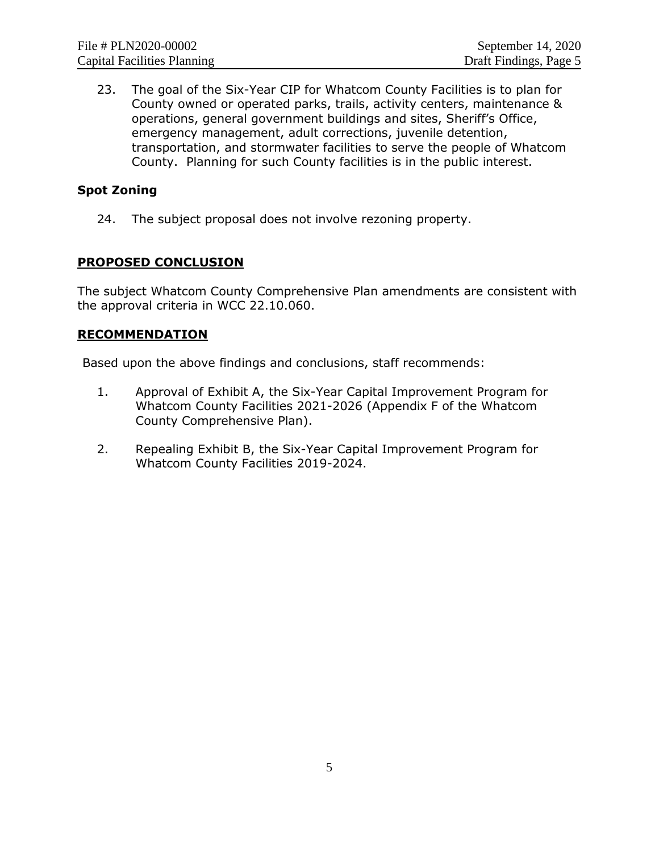23. The goal of the Six-Year CIP for Whatcom County Facilities is to plan for County owned or operated parks, trails, activity centers, maintenance & operations, general government buildings and sites, Sheriff's Office, emergency management, adult corrections, juvenile detention, transportation, and stormwater facilities to serve the people of Whatcom County. Planning for such County facilities is in the public interest.

# **Spot Zoning**

24. The subject proposal does not involve rezoning property.

# **PROPOSED CONCLUSION**

The subject Whatcom County Comprehensive Plan amendments are consistent with the approval criteria in WCC 22.10.060.

# **RECOMMENDATION**

Based upon the above findings and conclusions, staff recommends:

- 1. Approval of Exhibit A, the Six-Year Capital Improvement Program for Whatcom County Facilities 2021-2026 (Appendix F of the Whatcom County Comprehensive Plan).
- 2. Repealing Exhibit B, the Six-Year Capital Improvement Program for Whatcom County Facilities 2019-2024.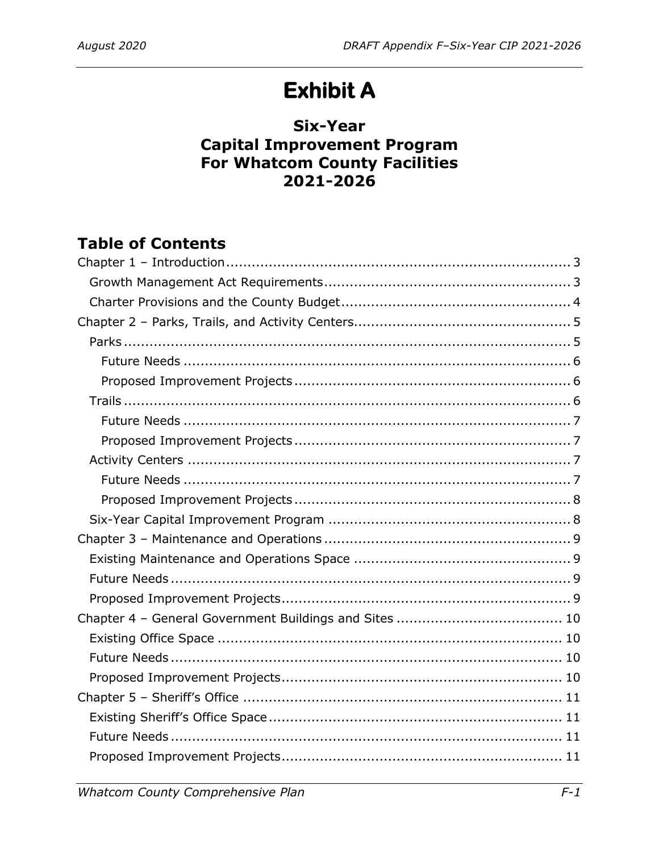# **Exhibit A**

# **Six-Year Capital Improvement Program** For Whatcom County Facilities  $2021 - 2026$

# **Table of Contents**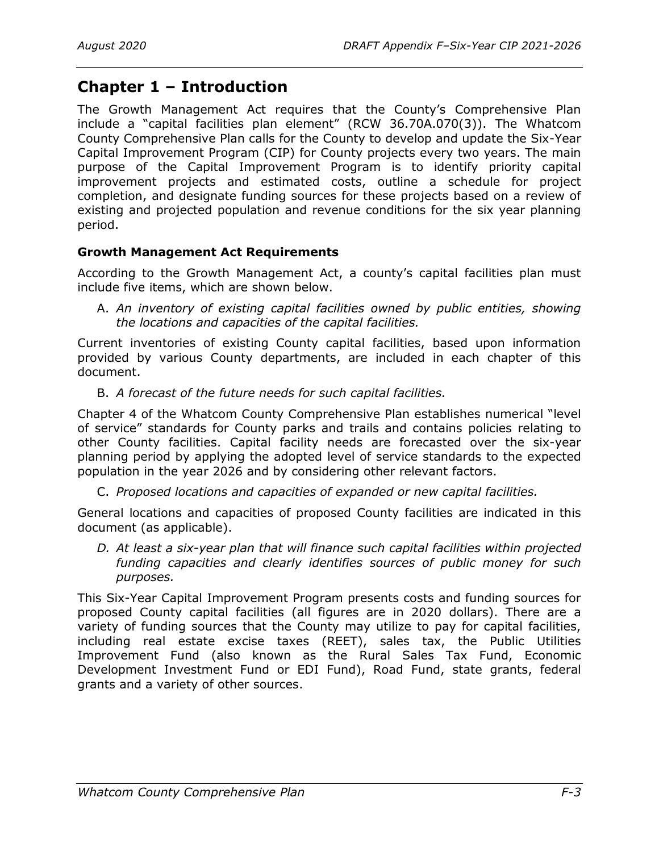# <span id="page-8-0"></span>**Chapter 1 – Introduction**

The Growth Management Act requires that the County's Comprehensive Plan include a "capital facilities plan element" (RCW 36.70A.070(3)). The Whatcom County Comprehensive Plan calls for the County to develop and update the Six-Year Capital Improvement Program (CIP) for County projects every two years. The main purpose of the Capital Improvement Program is to identify priority capital improvement projects and estimated costs, outline a schedule for project completion, and designate funding sources for these projects based on a review of existing and projected population and revenue conditions for the six year planning period.

# <span id="page-8-1"></span>**Growth Management Act Requirements**

According to the Growth Management Act, a county's capital facilities plan must include five items, which are shown below.

A. *An inventory of existing capital facilities owned by public entities, showing the locations and capacities of the capital facilities.*

Current inventories of existing County capital facilities, based upon information provided by various County departments, are included in each chapter of this document.

B. *A forecast of the future needs for such capital facilities.*

Chapter 4 of the Whatcom County Comprehensive Plan establishes numerical "level of service" standards for County parks and trails and contains policies relating to other County facilities. Capital facility needs are forecasted over the six-year planning period by applying the adopted level of service standards to the expected population in the year 2026 and by considering other relevant factors.

C. *Proposed locations and capacities of expanded or new capital facilities.*

General locations and capacities of proposed County facilities are indicated in this document (as applicable).

*D. At least a six-year plan that will finance such capital facilities within projected funding capacities and clearly identifies sources of public money for such purposes.*

This Six-Year Capital Improvement Program presents costs and funding sources for proposed County capital facilities (all figures are in 2020 dollars). There are a variety of funding sources that the County may utilize to pay for capital facilities, including real estate excise taxes (REET), sales tax, the Public Utilities Improvement Fund (also known as the Rural Sales Tax Fund, Economic Development Investment Fund or EDI Fund), Road Fund, state grants, federal grants and a variety of other sources.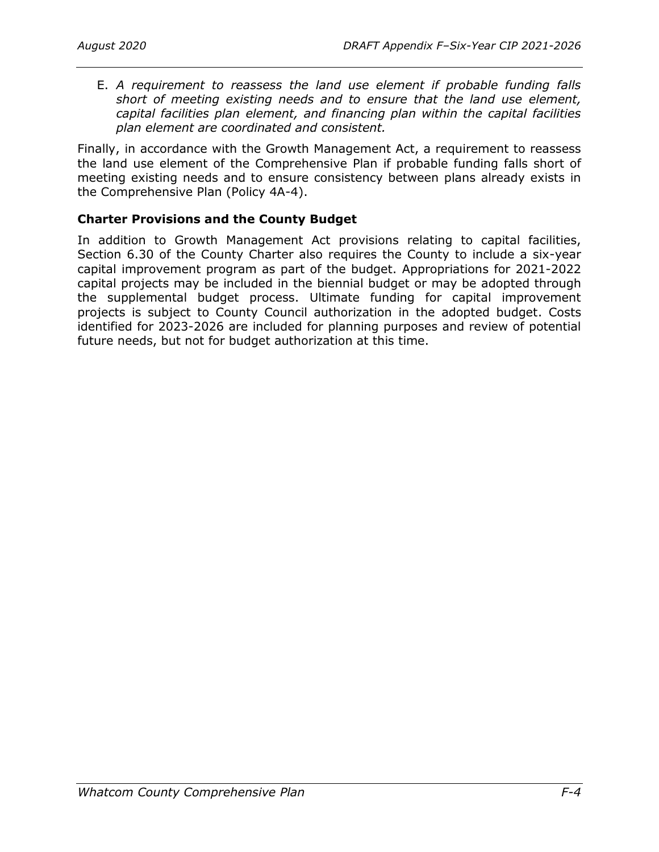E. *A requirement to reassess the land use element if probable funding falls short of meeting existing needs and to ensure that the land use element, capital facilities plan element, and financing plan within the capital facilities plan element are coordinated and consistent.*

Finally, in accordance with the Growth Management Act, a requirement to reassess the land use element of the Comprehensive Plan if probable funding falls short of meeting existing needs and to ensure consistency between plans already exists in the Comprehensive Plan (Policy 4A-4).

# <span id="page-9-0"></span>**Charter Provisions and the County Budget**

In addition to Growth Management Act provisions relating to capital facilities, Section 6.30 of the County Charter also requires the County to include a six-year capital improvement program as part of the budget. Appropriations for 2021-2022 capital projects may be included in the biennial budget or may be adopted through the supplemental budget process. Ultimate funding for capital improvement projects is subject to County Council authorization in the adopted budget. Costs identified for 2023-2026 are included for planning purposes and review of potential future needs, but not for budget authorization at this time.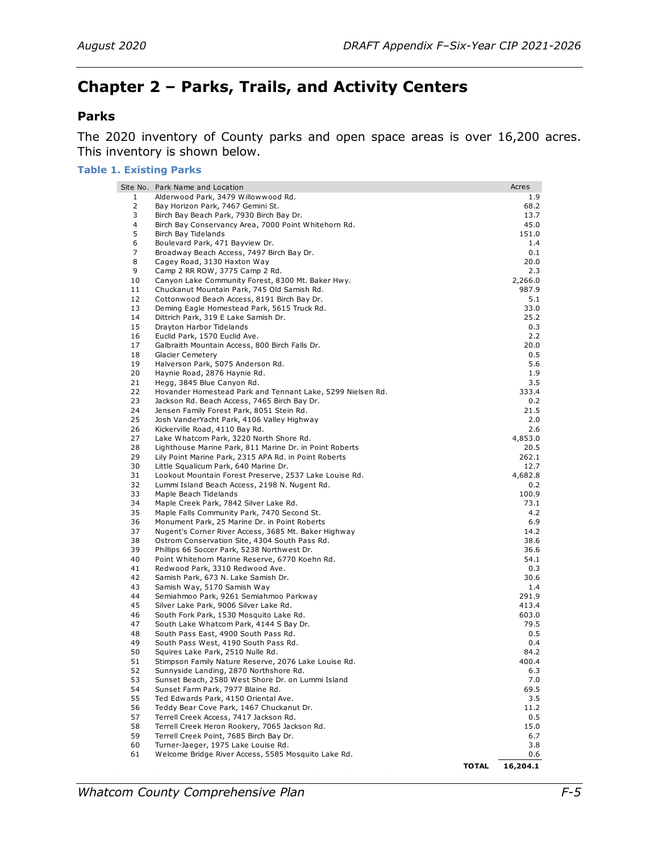# <span id="page-10-0"></span>**Chapter 2 – Parks, Trails, and Activity Centers**

# <span id="page-10-1"></span>**Parks**

The 2020 inventory of County parks and open space areas is over 16,200 acres. This inventory is shown below.

#### **Table 1. Existing Parks**

|          | Site No. Park Name and Location                                                          |              | Acres          |
|----------|------------------------------------------------------------------------------------------|--------------|----------------|
| 1        | Alderwood Park, 3479 Willowwood Rd.                                                      |              | 1.9            |
| 2        | Bay Horizon Park, 7467 Gemini St.                                                        |              | 68.2           |
| 3        | Birch Bay Beach Park, 7930 Birch Bay Dr.                                                 |              | 13.7           |
| 4        | Birch Bay Conservancy Area, 7000 Point Whitehorn Rd.                                     |              | 45.0           |
| 5        | Birch Bay Tidelands                                                                      |              | 151.0          |
| 6        | Boulevard Park, 471 Bayview Dr.                                                          |              | 1.4            |
| 7        | Broadway Beach Access, 7497 Birch Bay Dr.                                                |              | 0.1            |
| 8<br>9   | Cagey Road, 3130 Haxton Way<br>Camp 2 RR ROW, 3775 Camp 2 Rd.                            |              | 20.0           |
| 10       | Canyon Lake Community Forest, 8300 Mt. Baker Hwy.                                        |              | 2.3<br>2,266.0 |
| 11       | Chuckanut Mountain Park, 745 Old Samish Rd.                                              |              | 987.9          |
| 12       | Cottonwood Beach Access, 8191 Birch Bay Dr.                                              |              | 5.1            |
| 13       | Deming Eagle Homestead Park, 5615 Truck Rd.                                              |              | 33.0           |
| 14       | Dittrich Park, 319 E Lake Samish Dr.                                                     |              | 25.2           |
| 15       | Drayton Harbor Tidelands                                                                 |              | 0.3            |
| 16       | Euclid Park, 1570 Euclid Ave.                                                            |              | 2.2            |
| 17       | Galbraith Mountain Access, 800 Birch Falls Dr.                                           |              | 20.0           |
| 18       | <b>Glacier Cemetery</b>                                                                  |              | 0.5            |
| 19       | Halverson Park, 5075 Anderson Rd.                                                        |              | 5.6            |
| 20       | Haynie Road, 2876 Haynie Rd.                                                             |              | 1.9            |
| 21       | Hegg, 3845 Blue Canyon Rd.                                                               |              | 3.5            |
| 22       | Hovander Homestead Park and Tennant Lake, 5299 Nielsen Rd.                               |              | 333.4          |
| 23<br>24 | Jackson Rd. Beach Access, 7465 Birch Bay Dr.                                             |              | 0.2            |
| 25       | Jensen Family Forest Park, 8051 Stein Rd.<br>Josh VanderYacht Park, 4106 Valley Highway  |              | 21.5<br>2.0    |
| 26       | Kickerville Road, 4110 Bay Rd.                                                           |              | 2.6            |
| 27       | Lake Whatcom Park, 3220 North Shore Rd.                                                  |              | 4,853.0        |
| 28       | Lighthouse Marine Park, 811 Marine Dr. in Point Roberts                                  |              | 20.5           |
| 29       | Lily Point Marine Park, 2315 APA Rd. in Point Roberts                                    |              | 262.1          |
| 30       | Little Squalicum Park, 640 Marine Dr.                                                    |              | 12.7           |
| 31       | Lookout Mountain Forest Preserve, 2537 Lake Louise Rd.                                   |              | 4,682.8        |
| 32       | Lummi Island Beach Access, 2198 N. Nugent Rd.                                            |              | 0.2            |
| 33       | Maple Beach Tidelands                                                                    |              | 100.9          |
| 34       | Maple Creek Park, 7842 Silver Lake Rd.                                                   |              | 73.1           |
| 35       | Maple Falls Community Park, 7470 Second St.                                              |              | 4.2            |
| 36       | Monument Park, 25 Marine Dr. in Point Roberts                                            |              | 6.9            |
| 37       | Nugent's Corner River Access, 3685 Mt. Baker Highway                                     |              | 14.2           |
| 38       | Ostrom Conservation Site, 4304 South Pass Rd.                                            |              | 38.6           |
| 39       | Phillips 66 Soccer Park, 5238 Northwest Dr.                                              |              | 36.6           |
| 40<br>41 | Point Whitehorn Marine Reserve, 6770 Koehn Rd.                                           |              | 54.1           |
| 42       | Redwood Park, 3310 Redwood Ave.<br>Samish Park, 673 N. Lake Samish Dr.                   |              | 0.3<br>30.6    |
| 43       | Samish Way, 5170 Samish Way                                                              |              | 1.4            |
| 44       | Semiahmoo Park, 9261 Semiahmoo Parkway                                                   |              | 291.9          |
| 45       | Silver Lake Park, 9006 Silver Lake Rd.                                                   |              | 413.4          |
| 46       | South Fork Park, 1530 Mosquito Lake Rd.                                                  |              | 603.0          |
| 47       | South Lake Whatcom Park, 4144 S Bay Dr.                                                  |              | 79.5           |
| 48       | South Pass East, 4900 South Pass Rd.                                                     |              | 0.5            |
| 49       | South Pass West, 4190 South Pass Rd.                                                     |              | 0.4            |
| 50       | Squires Lake Park, 2510 Nulle Rd.                                                        |              | 84.2           |
| 51       | Stimpson Family Nature Reserve, 2076 Lake Louise Rd.                                     |              | 400.4          |
| 52       | Sunnyside Landing, 2870 Northshore Rd.                                                   |              | 6.3            |
| 53       | Sunset Beach, 2580 West Shore Dr. on Lummi Island                                        |              | 7.0            |
| 54       | Sunset Farm Park, 7977 Blaine Rd.                                                        |              | 69.5           |
| 55       | Ted Edwards Park, 4150 Oriental Ave.                                                     |              | 3.5            |
| 56       | Teddy Bear Cove Park, 1467 Chuckanut Dr.                                                 |              | 11.2           |
| 57       | Terrell Creek Access, 7417 Jackson Rd.                                                   |              | 0.5            |
| 58<br>59 | Terrell Creek Heron Rookery, 7065 Jackson Rd.<br>Terrell Creek Point, 7685 Birch Bay Dr. |              | 15.0<br>6.7    |
| 60       | Turner-Jaeger, 1975 Lake Louise Rd.                                                      |              | 3.8            |
| 61       | Welcome Bridge River Access, 5585 Mosquito Lake Rd.                                      |              | 0.6            |
|          |                                                                                          | <b>TOTAL</b> | 16,204.1       |
|          |                                                                                          |              |                |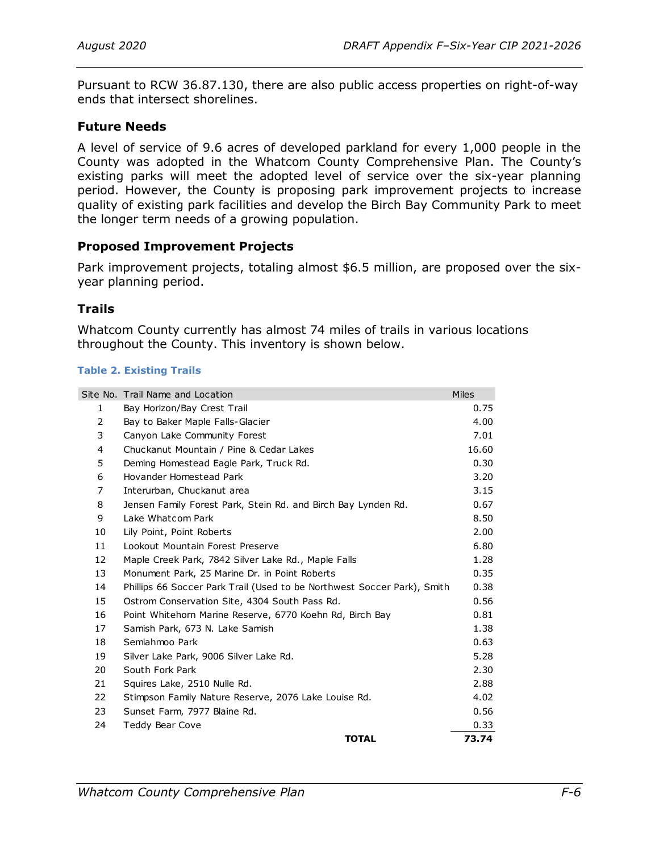Pursuant to RCW 36.87.130, there are also public access properties on right-of-way ends that intersect shorelines.

# <span id="page-11-0"></span>**Future Needs**

A level of service of 9.6 acres of developed parkland for every 1,000 people in the County was adopted in the Whatcom County Comprehensive Plan. The County's existing parks will meet the adopted level of service over the six-year planning period. However, the County is proposing park improvement projects to increase quality of existing park facilities and develop the Birch Bay Community Park to meet the longer term needs of a growing population.

# <span id="page-11-1"></span>**Proposed Improvement Projects**

Park improvement projects, totaling almost \$6.5 million, are proposed over the sixyear planning period.

# <span id="page-11-2"></span>**Trails**

Whatcom County currently has almost 74 miles of trails in various locations throughout the County. This inventory is shown below.

### **Table 2. Existing Trails**

|                | Site No. Trail Name and Location                                        | <b>Miles</b> |
|----------------|-------------------------------------------------------------------------|--------------|
| 1              | Bay Horizon/Bay Crest Trail                                             | 0.75         |
| 2              | Bay to Baker Maple Falls-Glacier                                        | 4.00         |
| 3              | Canyon Lake Community Forest                                            | 7.01         |
| 4              | Chuckanut Mountain / Pine & Cedar Lakes                                 | 16.60        |
| 5              | Deming Homestead Eagle Park, Truck Rd.                                  | 0.30         |
| 6              | Hovander Homestead Park                                                 | 3.20         |
| $\overline{7}$ | Interurban, Chuckanut area                                              | 3.15         |
| 8              | Jensen Family Forest Park, Stein Rd. and Birch Bay Lynden Rd.           | 0.67         |
| 9              | Lake Whatcom Park                                                       | 8.50         |
| 10             | Lily Point, Point Roberts                                               | 2.00         |
| 11             | Lookout Mountain Forest Preserve                                        | 6.80         |
| 12             | Maple Creek Park, 7842 Silver Lake Rd., Maple Falls                     | 1.28         |
| 13             | Monument Park, 25 Marine Dr. in Point Roberts                           | 0.35         |
| 14             | Phillips 66 Soccer Park Trail (Used to be Northwest Soccer Park), Smith | 0.38         |
| 15             | Ostrom Conservation Site, 4304 South Pass Rd.                           | 0.56         |
| 16             | Point Whitehorn Marine Reserve, 6770 Koehn Rd, Birch Bay                | 0.81         |
| 17             | Samish Park, 673 N. Lake Samish                                         | 1.38         |
| 18             | Semiahmoo Park                                                          | 0.63         |
| 19             | Silver Lake Park, 9006 Silver Lake Rd.                                  | 5.28         |
| 20             | South Fork Park                                                         | 2.30         |
| 21             | Squires Lake, 2510 Nulle Rd.                                            | 2.88         |
| 22             | Stimpson Family Nature Reserve, 2076 Lake Louise Rd.                    | 4.02         |
| 23             | Sunset Farm, 7977 Blaine Rd.                                            | 0.56         |
| 24             | Teddy Bear Cove                                                         | 0.33         |
|                | <b>TOTAL</b>                                                            | 73.74        |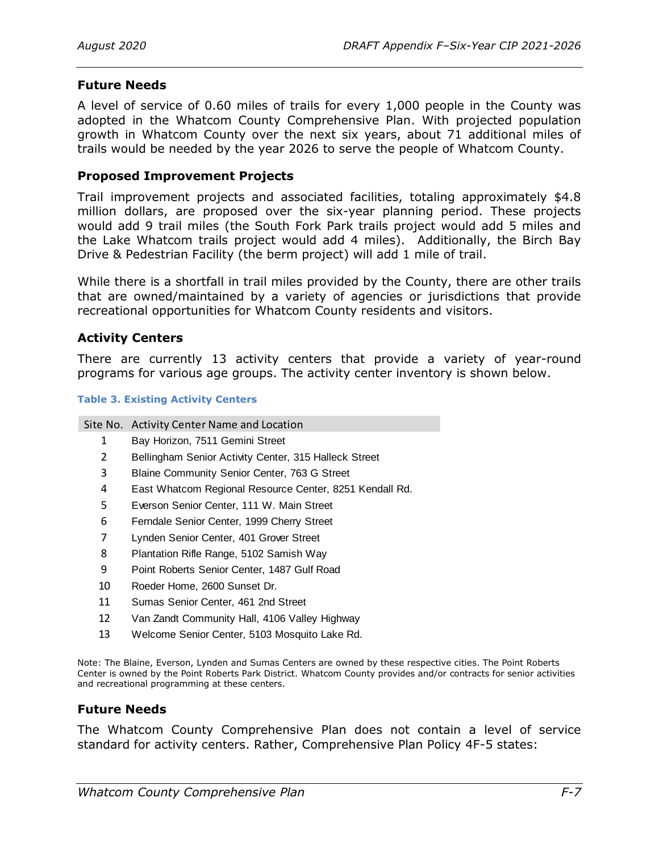# <span id="page-12-0"></span>**Future Needs**

A level of service of 0.60 miles of trails for every 1,000 people in the County was adopted in the Whatcom County Comprehensive Plan. With projected population growth in Whatcom County over the next six years, about 71 additional miles of trails would be needed by the year 2026 to serve the people of Whatcom County.

### <span id="page-12-1"></span>**Proposed Improvement Projects**

Trail improvement projects and associated facilities, totaling approximately \$4.8 million dollars, are proposed over the six-year planning period. These projects would add 9 trail miles (the South Fork Park trails project would add 5 miles and the Lake Whatcom trails project would add 4 miles). Additionally, the Birch Bay Drive & Pedestrian Facility (the berm project) will add 1 mile of trail.

While there is a shortfall in trail miles provided by the County, there are other trails that are owned/maintained by a variety of agencies or jurisdictions that provide recreational opportunities for Whatcom County residents and visitors.

### <span id="page-12-2"></span>**Activity Centers**

There are currently 13 activity centers that provide a variety of year-round programs for various age groups. The activity center inventory is shown below.

#### **Table 3. Existing Activity Centers**

|              | Site No. Activity Center Name and Location              |
|--------------|---------------------------------------------------------|
| $\mathbf{1}$ | Bay Horizon, 7511 Gemini Street                         |
| 2            | Bellingham Senior Activity Center, 315 Halleck Street   |
| 3            | Blaine Community Senior Center, 763 G Street            |
| 4            | East Whatcom Regional Resource Center, 8251 Kendall Rd. |
|              |                                                         |

- 5 Everson Senior Center, 111 W. Main Street
- 6 Ferndale Senior Center, 1999 Cherry Street
- 7 Lynden Senior Center, 401 Grover Street
- 8 Plantation Rifle Range, 5102 Samish Way
- 9 Point Roberts Senior Center, 1487 Gulf Road
- 10 Roeder Home, 2600 Sunset Dr.
- 11 Sumas Senior Center, 461 2nd Street
- 12 Van Zandt Community Hall, 4106 Valley Highway
- 13 Welcome Senior Center, 5103 Mosquito Lake Rd.

Note: The Blaine, Everson, Lynden and Sumas Centers are owned by these respective cities. The Point Roberts Center is owned by the Point Roberts Park District. Whatcom County provides and/or contracts for senior activities and recreational programming at these centers.

### <span id="page-12-3"></span>**Future Needs**

The Whatcom County Comprehensive Plan does not contain a level of service standard for activity centers. Rather, Comprehensive Plan Policy 4F-5 states: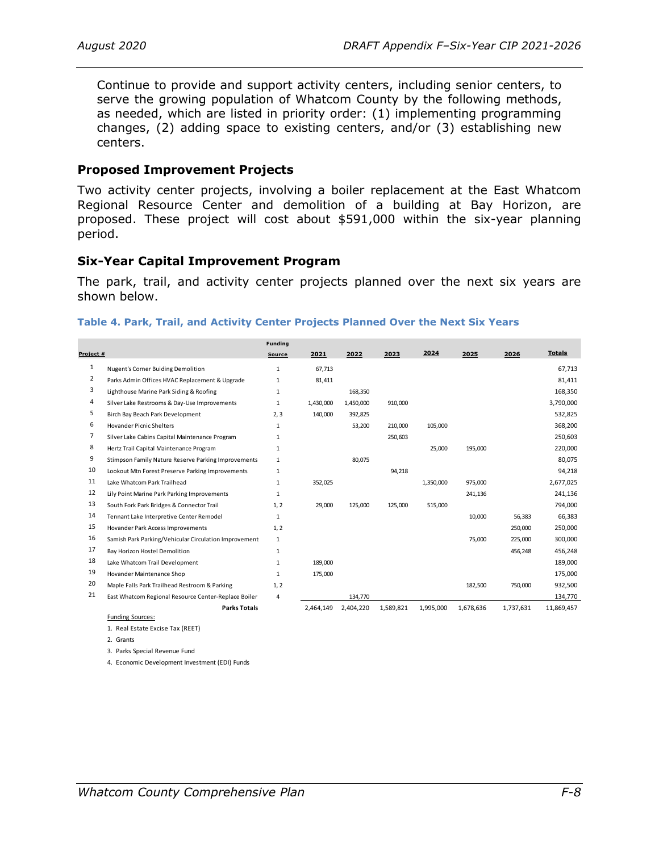Continue to provide and support activity centers, including senior centers, to serve the growing population of Whatcom County by the following methods, as needed, which are listed in priority order: (1) implementing programming changes, (2) adding space to existing centers, and/or (3) establishing new centers.

### <span id="page-13-0"></span>**Proposed Improvement Projects**

Two activity center projects, involving a boiler replacement at the East Whatcom Regional Resource Center and demolition of a building at Bay Horizon, are proposed. These project will cost about \$591,000 within the six-year planning period.

### <span id="page-13-1"></span>**Six-Year Capital Improvement Program**

The park, trail, and activity center projects planned over the next six years are shown below.

#### **Table 4. Park, Trail, and Activity Center Projects Planned Over the Next Six Years**

|           |                                                        | Funding      |           |           |           |           |           |           |               |
|-----------|--------------------------------------------------------|--------------|-----------|-----------|-----------|-----------|-----------|-----------|---------------|
| Project # |                                                        | Source       | 2021      | 2022      | 2023      | 2024      | 2025      | 2026      | <b>Totals</b> |
| 1         | Nugent's Corner Buiding Demolition                     | $\mathbf{1}$ | 67.713    |           |           |           |           |           | 67.713        |
| 2         | Parks Admin Offices HVAC Replacement & Upgrade         | $\mathbf{1}$ | 81,411    |           |           |           |           |           | 81,411        |
| 3         | Lighthouse Marine Park Siding & Roofing                | 1            |           | 168,350   |           |           |           |           | 168,350       |
| 4         | Silver Lake Restrooms & Day-Use Improvements           | $\mathbf{1}$ | 1,430,000 | 1,450,000 | 910,000   |           |           |           | 3,790,000     |
| 5         | Birch Bay Beach Park Development                       | 2, 3         | 140,000   | 392,825   |           |           |           |           | 532,825       |
| 6         | <b>Hovander Picnic Shelters</b>                        | $\mathbf{1}$ |           | 53,200    | 210,000   | 105,000   |           |           | 368,200       |
| 7         | Silver Lake Cabins Capital Maintenance Program         | 1            |           |           | 250,603   |           |           |           | 250,603       |
| 8         | Hertz Trail Capital Maintenance Program                | $\mathbf{1}$ |           |           |           | 25,000    | 195,000   |           | 220,000       |
| 9         | Stimpson Family Nature Reserve Parking Improvements    | 1            |           | 80,075    |           |           |           |           | 80,075        |
| 10        | Lookout Mtn Forest Preserve Parking Improvements       | $\mathbf{1}$ |           |           | 94,218    |           |           |           | 94,218        |
| 11        | Lake Whatcom Park Trailhead                            | $\mathbf{1}$ | 352,025   |           |           | 1,350,000 | 975,000   |           | 2,677,025     |
| 12        | Lily Point Marine Park Parking Improvements            | $\mathbf{1}$ |           |           |           |           | 241,136   |           | 241,136       |
| 13        | South Fork Park Bridges & Connector Trail              | 1, 2         | 29,000    | 125,000   | 125,000   | 515,000   |           |           | 794,000       |
| 14        | Tennant Lake Interpretive Center Remodel               | $\mathbf{1}$ |           |           |           |           | 10,000    | 56,383    | 66,383        |
| 15        | Hovander Park Access Improvements                      | 1.2          |           |           |           |           |           | 250,000   | 250,000       |
| 16        | Samish Park Parking/Vehicular Circulation Improvement: | 1            |           |           |           |           | 75,000    | 225,000   | 300,000       |
| 17        | Bay Horizon Hostel Demolition                          | $\mathbf{1}$ |           |           |           |           |           | 456,248   | 456,248       |
| 18        | Lake Whatcom Trail Development                         | 1            | 189,000   |           |           |           |           |           | 189,000       |
| 19        | Hovander Maintenance Shop                              | 1            | 175,000   |           |           |           |           |           | 175,000       |
| 20        | Maple Falls Park Trailhead Restroom & Parking          | 1, 2         |           |           |           |           | 182,500   | 750,000   | 932,500       |
| 21        | East Whatcom Regional Resource Center-Replace Boiler   | 4            |           | 134,770   |           |           |           |           | 134,770       |
|           | <b>Parks Totals</b>                                    |              | 2.464.149 | 2,404,220 | 1,589,821 | 1.995.000 | 1.678.636 | 1.737.631 | 11,869,457    |
|           | <b>Funding Sources:</b>                                |              |           |           |           |           |           |           |               |

1. Real Estate Excise Tax (REET)

2. Grants

3. Parks Special Revenue Fund

4. Economic Development Investment (EDI) Funds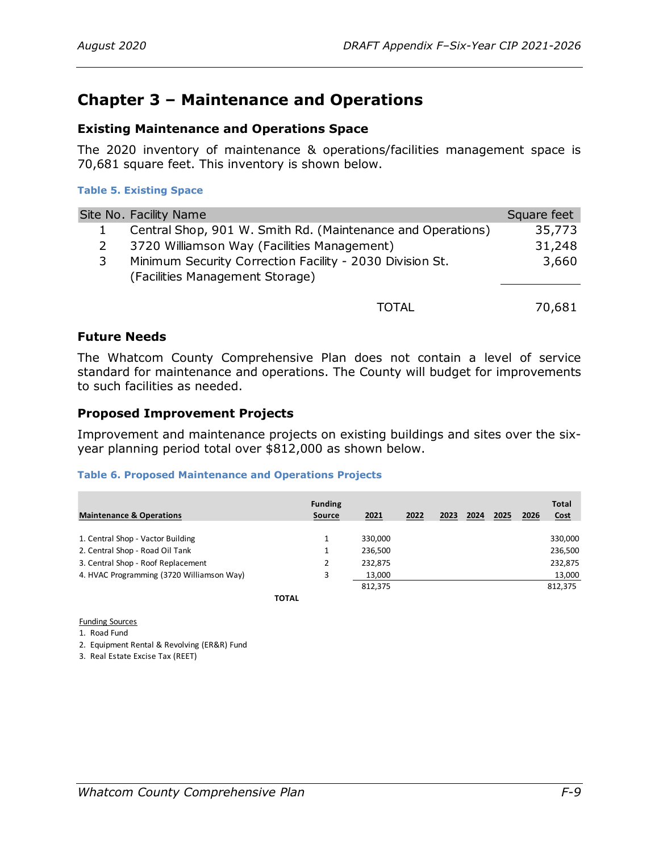# <span id="page-14-0"></span>**Chapter 3 – Maintenance and Operations**

# <span id="page-14-1"></span>**Existing Maintenance and Operations Space**

The 2020 inventory of maintenance & operations/facilities management space is 70,681 square feet. This inventory is shown below.

### **Table 5. Existing Space**

|   | Site No. Facility Name                                      | Square feet |
|---|-------------------------------------------------------------|-------------|
|   | Central Shop, 901 W. Smith Rd. (Maintenance and Operations) | 35,773      |
|   | 3720 Williamson Way (Facilities Management)                 | 31,248      |
| 3 | Minimum Security Correction Facility - 2030 Division St.    | 3,660       |
|   | (Facilities Management Storage)                             |             |
|   |                                                             |             |
|   | TOTAL                                                       | 70,681      |

### **Future Needs**

The Whatcom County Comprehensive Plan does not contain a level of service standard for maintenance and operations. The County will budget for improvements to such facilities as needed.

# <span id="page-14-3"></span>**Proposed Improvement Projects**

Improvement and maintenance projects on existing buildings and sites over the sixyear planning period total over \$812,000 as shown below.

### **Table 6. Proposed Maintenance and Operations Projects**

| <b>Maintenance &amp; Operations</b>       | <b>Funding</b><br><b>Source</b> | 2021    | 2022 | 2023 | 2024 | 2025 | 2026 | <b>Total</b><br><b>Cost</b> |
|-------------------------------------------|---------------------------------|---------|------|------|------|------|------|-----------------------------|
| 1. Central Shop - Vactor Building         |                                 | 330,000 |      |      |      |      |      | 330,000                     |
| 2. Central Shop - Road Oil Tank           |                                 | 236,500 |      |      |      |      |      | 236,500                     |
| 3. Central Shop - Roof Replacement        |                                 | 232,875 |      |      |      |      |      | 232,875                     |
| 4. HVAC Programming (3720 Williamson Way) | 3                               | 13.000  |      |      |      |      |      | 13,000                      |
|                                           |                                 | 812,375 |      |      |      |      |      | 812,375                     |

<span id="page-14-2"></span>**TOTAL**

Funding Sources

1. Road Fund

2. Equipment Rental & Revolving (ER&R) Fund

3. Real Estate Excise Tax (REET)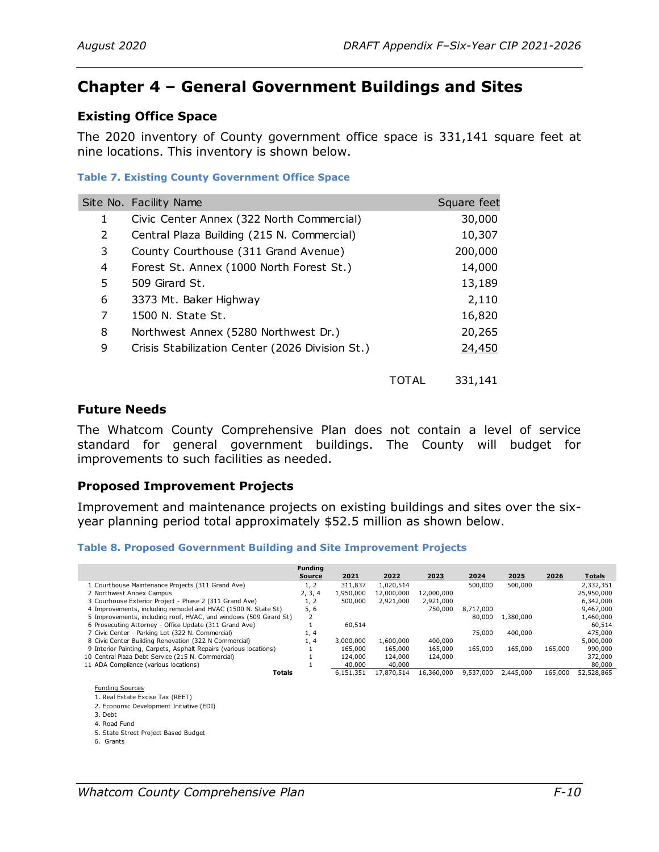# <span id="page-15-0"></span>**Chapter 4 – General Government Buildings and Sites**

# <span id="page-15-1"></span>**Existing Office Space**

The 2020 inventory of County government office space is 331,141 square feet at nine locations. This inventory is shown below.

### **Table 7. Existing County Government Office Space**

|                       | able 7. Existing County Government Office Space |       |             |  |  |  |  |  |
|-----------------------|-------------------------------------------------|-------|-------------|--|--|--|--|--|
|                       | Site No. Facility Name                          |       | Square feet |  |  |  |  |  |
| 1                     | Civic Center Annex (322 North Commercial)       |       | 30,000      |  |  |  |  |  |
| $\mathbf{2}^{\prime}$ | Central Plaza Building (215 N. Commercial)      |       | 10,307      |  |  |  |  |  |
| 3                     | County Courthouse (311 Grand Avenue)            |       | 200,000     |  |  |  |  |  |
| 4                     | Forest St. Annex (1000 North Forest St.)        |       | 14,000      |  |  |  |  |  |
| 5                     | 509 Girard St.                                  |       | 13,189      |  |  |  |  |  |
| 6                     | 3373 Mt. Baker Highway                          |       | 2,110       |  |  |  |  |  |
| 7                     | 1500 N. State St.                               |       | 16,820      |  |  |  |  |  |
| 8                     | Northwest Annex (5280 Northwest Dr.)            |       | 20,265      |  |  |  |  |  |
| 9                     | Crisis Stabilization Center (2026 Division St.) |       | 24,450      |  |  |  |  |  |
|                       |                                                 |       |             |  |  |  |  |  |
|                       |                                                 | TOTAL | 331,141     |  |  |  |  |  |

### <span id="page-15-2"></span>**Future Needs**

The Whatcom County Comprehensive Plan does not contain a level of service standard for general government buildings. The County will budget for improvements to such facilities as needed.

### <span id="page-15-3"></span>**Proposed Improvement Projects**

Improvement and maintenance projects on existing buildings and sites over the sixyear planning period total approximately \$52.5 million as shown below.

#### **Table 8. Proposed Government Building and Site Improvement Projects**

|                                                                   | <b>Funding</b><br>Source | 2021      | 2022       | 2023       | 2024      | 2025      | 2026    | <b>Totals</b> |
|-------------------------------------------------------------------|--------------------------|-----------|------------|------------|-----------|-----------|---------|---------------|
| 1 Courthouse Maintenance Projects (311 Grand Ave)                 | 1, 2                     | 311,837   | 1.020.514  |            | 500,000   | 500,000   |         | 2,332,351     |
| 2 Northwest Annex Campus                                          | 2, 3, 4                  | 1,950,000 | 12,000,000 | 12,000,000 |           |           |         | 25,950,000    |
| 3 Courhouse Exterior Project - Phase 2 (311 Grand Ave)            | 1, 2                     | 500,000   | 2,921,000  | 2,921,000  |           |           |         | 6,342,000     |
| 4 Improvements, including remodel and HVAC (1500 N. State St)     | 5.6                      |           |            | 750,000    | 8,717,000 |           |         | 9,467,000     |
| 5 Improvements, including roof, HVAC, and windows (509 Girard St) |                          |           |            |            | 80,000    | 1,380,000 |         | 1,460,000     |
| 6 Prosecuting Attorney - Office Update (311 Grand Ave)            |                          | 60,514    |            |            |           |           |         | 60,514        |
| 7 Civic Center - Parking Lot (322 N. Commercial)                  | 1, 4                     |           |            |            | 75,000    | 400,000   |         | 475,000       |
| 8 Civic Center Building Renovation (322 N Commercial)             | 1, 4                     | 3,000,000 | 1,600,000  | 400,000    |           |           |         | 5,000,000     |
| 9 Interior Painting, Carpets, Asphalt Repairs (various locations) |                          | 165,000   | 165,000    | 165,000    | 165,000   | 165,000   | 165,000 | 990,000       |
| 10 Central Plaza Debt Service (215 N. Commercial)                 |                          | 124,000   | 124,000    | 124,000    |           |           |         | 372,000       |
| 11 ADA Compliance (various locations)                             |                          | 40,000    | 40,000     |            |           |           |         | 80,000        |
| <b>Totals</b>                                                     |                          | 6.151.351 | 17.870.514 | 16,360,000 | 9,537,000 | 2,445,000 | 165,000 | 52,528,865    |

#### Funding Sources

- 1. Real Estate Excise Tax (REET)
- 2. Economic Development Initiative (EDI) 3. Debt
- 4. Road Fund
- 5. State Street Project Based Budget
- 6. Grants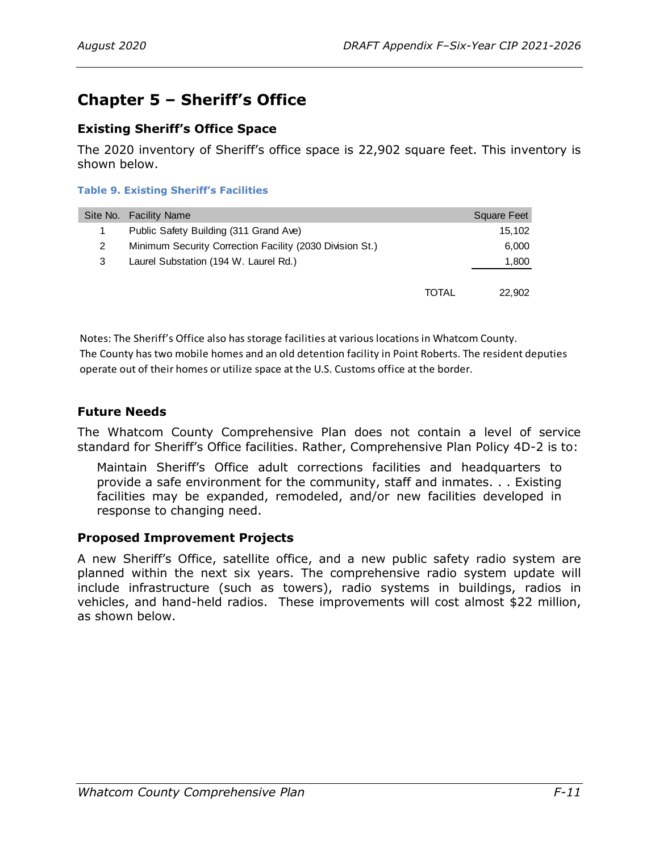# <span id="page-16-0"></span>**Chapter 5 – Sheriff's Office**

# <span id="page-16-1"></span>**Existing Sheriff's Office Space**

The 2020 inventory of Sheriff's office space is 22,902 square feet. This inventory is shown below.

### **Table 9. Existing Sheriff's Facilities**

|   | Site No. Facility Name                                   |       | Square Feet |
|---|----------------------------------------------------------|-------|-------------|
|   | Public Safety Building (311 Grand Ave)                   |       | 15.102      |
|   | Minimum Security Correction Facility (2030 Division St.) |       | 6,000       |
| 3 | Laurel Substation (194 W. Laurel Rd.)                    |       | 1,800       |
|   |                                                          |       |             |
|   |                                                          | TOTAL | 22,902      |

Notes: The Sheriff's Office also has storage facilities at various locations in Whatcom County. The County has two mobile homes and an old detention facility in Point Roberts. The resident deputies operate out of their homes or utilize space at the U.S. Customs office at the border.

# <span id="page-16-2"></span>**Future Needs**

The Whatcom County Comprehensive Plan does not contain a level of service standard for Sheriff's Office facilities. Rather, Comprehensive Plan Policy 4D-2 is to:

Maintain Sheriff's Office adult corrections facilities and headquarters to provide a safe environment for the community, staff and inmates. . . Existing facilities may be expanded, remodeled, and/or new facilities developed in response to changing need.

# <span id="page-16-3"></span>**Proposed Improvement Projects**

A new Sheriff's Office, satellite office, and a new public safety radio system are planned within the next six years. The comprehensive radio system update will include infrastructure (such as towers), radio systems in buildings, radios in vehicles, and hand-held radios. These improvements will cost almost \$22 million, as shown below.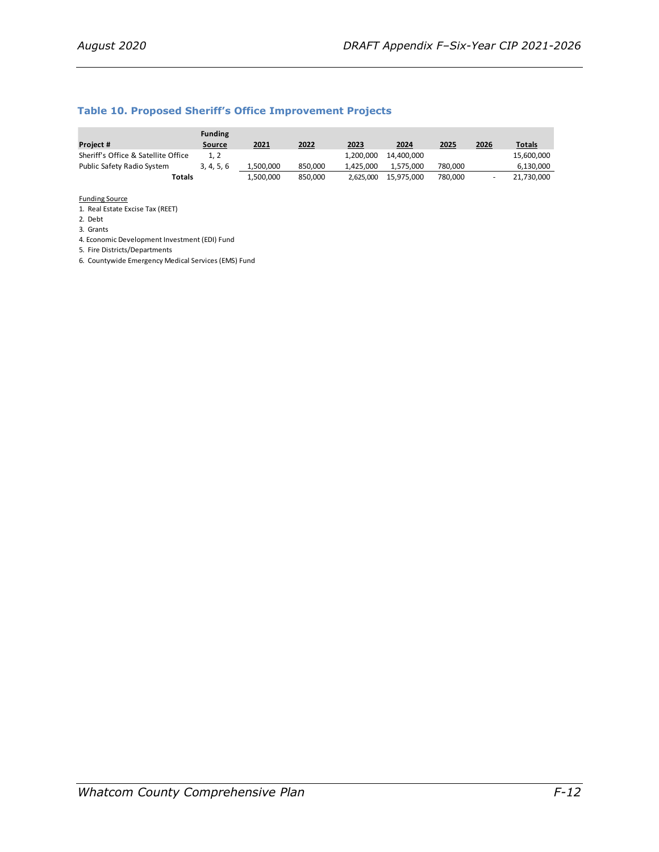#### **Table 10. Proposed Sheriff's Office Improvement Projects**

|                                     | <b>Funding</b> |           |         |           |            |         |      |               |
|-------------------------------------|----------------|-----------|---------|-----------|------------|---------|------|---------------|
| Project #                           | Source         | 2021      | 2022    | 2023      | 2024       | 2025    | 2026 | <u>Totals</u> |
| Sheriff's Office & Satellite Office | 1.2            |           |         | 1.200.000 | 14.400.000 |         |      | 15,600,000    |
| Public Safety Radio System          | 3, 4, 5, 6     | 1.500.000 | 850.000 | 1.425.000 | 1.575.000  | 780.000 |      | 6,130,000     |
| Totals                              |                | 1,500,000 | 850.000 | 2.625.000 | 15.975.000 | 780.000 |      | 21,730,000    |

Funding Source

1. Real Estate Excise Tax (REET)

2. Debt

3. Grants

4. Economic Development Investment (EDI) Fund

5. Fire Districts/Departments

6. Countywide Emergency Medical Services (EMS) Fund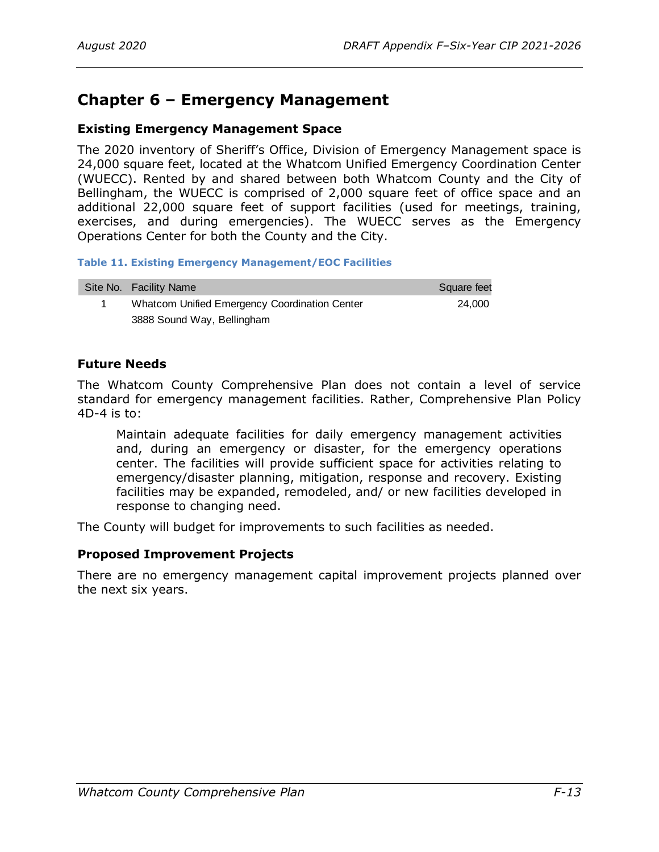# <span id="page-18-0"></span>**Chapter 6 – Emergency Management**

# <span id="page-18-1"></span>**Existing Emergency Management Space**

The 2020 inventory of Sheriff's Office, Division of Emergency Management space is 24,000 square feet, located at the Whatcom Unified Emergency Coordination Center (WUECC). Rented by and shared between both Whatcom County and the City of Bellingham, the WUECC is comprised of 2,000 square feet of office space and an additional 22,000 square feet of support facilities (used for meetings, training, exercises, and during emergencies). The WUECC serves as the Emergency Operations Center for both the County and the City.

### **Table 11. Existing Emergency Management/EOC Facilities**

| Site No. Facility Name                        | Square feet |
|-----------------------------------------------|-------------|
| Whatcom Unified Emergency Coordination Center | 24.000      |
| 3888 Sound Way, Bellingham                    |             |

# <span id="page-18-2"></span>**Future Needs**

The Whatcom County Comprehensive Plan does not contain a level of service standard for emergency management facilities. Rather, Comprehensive Plan Policy 4D-4 is to:

Maintain adequate facilities for daily emergency management activities and, during an emergency or disaster, for the emergency operations center. The facilities will provide sufficient space for activities relating to emergency/disaster planning, mitigation, response and recovery. Existing facilities may be expanded, remodeled, and/ or new facilities developed in response to changing need.

The County will budget for improvements to such facilities as needed.

# <span id="page-18-3"></span>**Proposed Improvement Projects**

There are no emergency management capital improvement projects planned over the next six years.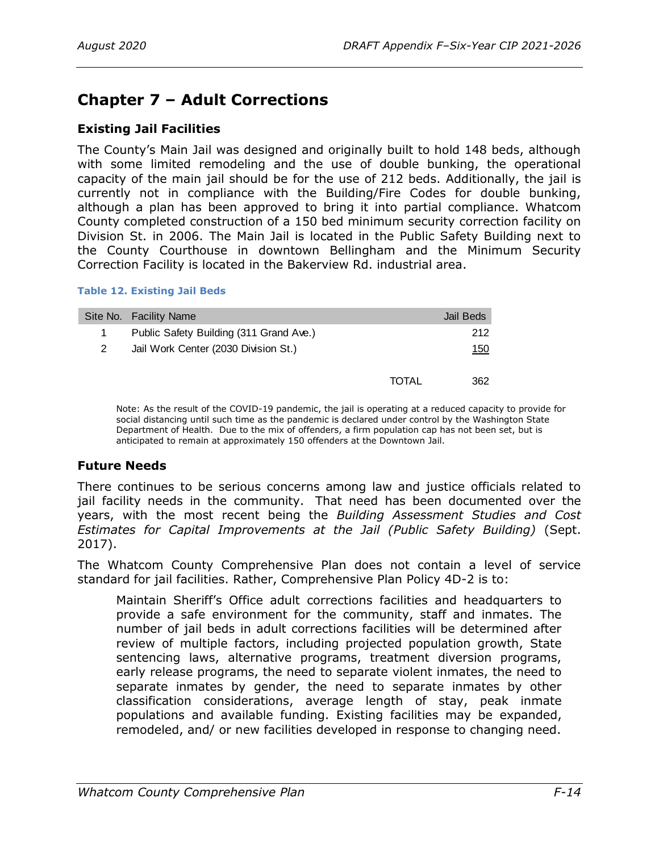# <span id="page-19-0"></span>**Chapter 7 – Adult Corrections**

# <span id="page-19-1"></span>**Existing Jail Facilities**

The County's Main Jail was designed and originally built to hold 148 beds, although with some limited remodeling and the use of double bunking, the operational capacity of the main jail should be for the use of 212 beds. Additionally, the jail is currently not in compliance with the Building/Fire Codes for double bunking, although a plan has been approved to bring it into partial compliance. Whatcom County completed construction of a 150 bed minimum security correction facility on Division St. in 2006. The Main Jail is located in the Public Safety Building next to the County Courthouse in downtown Bellingham and the Minimum Security Correction Facility is located in the Bakerview Rd. industrial area.

#### **Table 12. Existing Jail Beds**

| Site No. Facility Name | Jail Beds                                                                                       |
|------------------------|-------------------------------------------------------------------------------------------------|
|                        | 212                                                                                             |
|                        | 150                                                                                             |
|                        | 362                                                                                             |
|                        | Public Safety Building (311 Grand Ave.)<br>Jail Work Center (2030 Division St.)<br><b>TOTAL</b> |

Note: As the result of the COVID-19 pandemic, the jail is operating at a reduced capacity to provide for social distancing until such time as the pandemic is declared under control by the Washington State Department of Health. Due to the mix of offenders, a firm population cap has not been set, but is anticipated to remain at approximately 150 offenders at the Downtown Jail.

# <span id="page-19-2"></span>**Future Needs**

There continues to be serious concerns among law and justice officials related to jail facility needs in the community. That need has been documented over the years, with the most recent being the *Building Assessment Studies and Cost Estimates for Capital Improvements at the Jail (Public Safety Building)* (Sept. 2017).

The Whatcom County Comprehensive Plan does not contain a level of service standard for jail facilities. Rather, Comprehensive Plan Policy 4D-2 is to:

Maintain Sheriff's Office adult corrections facilities and headquarters to provide a safe environment for the community, staff and inmates. The number of jail beds in adult corrections facilities will be determined after review of multiple factors, including projected population growth, State sentencing laws, alternative programs, treatment diversion programs, early release programs, the need to separate violent inmates, the need to separate inmates by gender, the need to separate inmates by other classification considerations, average length of stay, peak inmate populations and available funding. Existing facilities may be expanded, remodeled, and/ or new facilities developed in response to changing need.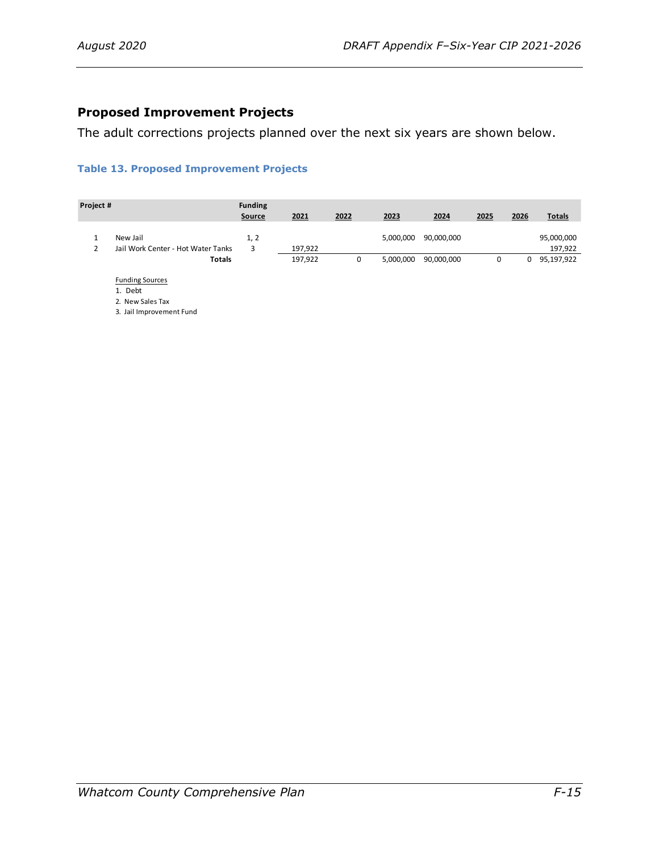# <span id="page-20-0"></span>**Proposed Improvement Projects**

The adult corrections projects planned over the next six years are shown below.

### **Table 13. Proposed Improvement Projects**

| Project # |                                    | <b>Funding</b> |         |      |           |            |      |      |               |
|-----------|------------------------------------|----------------|---------|------|-----------|------------|------|------|---------------|
|           |                                    | <b>Source</b>  | 2021    | 2022 | 2023      | 2024       | 2025 | 2026 | <b>Totals</b> |
|           |                                    |                |         |      |           |            |      |      |               |
|           | New Jail                           | 1, 2           |         |      | 5,000,000 | 90,000,000 |      |      | 95,000,000    |
| 2         | Jail Work Center - Hot Water Tanks | 3              | 197,922 |      |           |            |      |      | 197,922       |
|           | Totals                             |                | 197,922 | 0    | 5,000,000 | 90,000,000 | 0    | 0    | 95,197,922    |
|           | <b>Funding Sources</b>             |                |         |      |           |            |      |      |               |
|           | 1. Debt                            |                |         |      |           |            |      |      |               |
|           | 2. New Sales Tax                   |                |         |      |           |            |      |      |               |
|           | 3. Jail Improvement Fund           |                |         |      |           |            |      |      |               |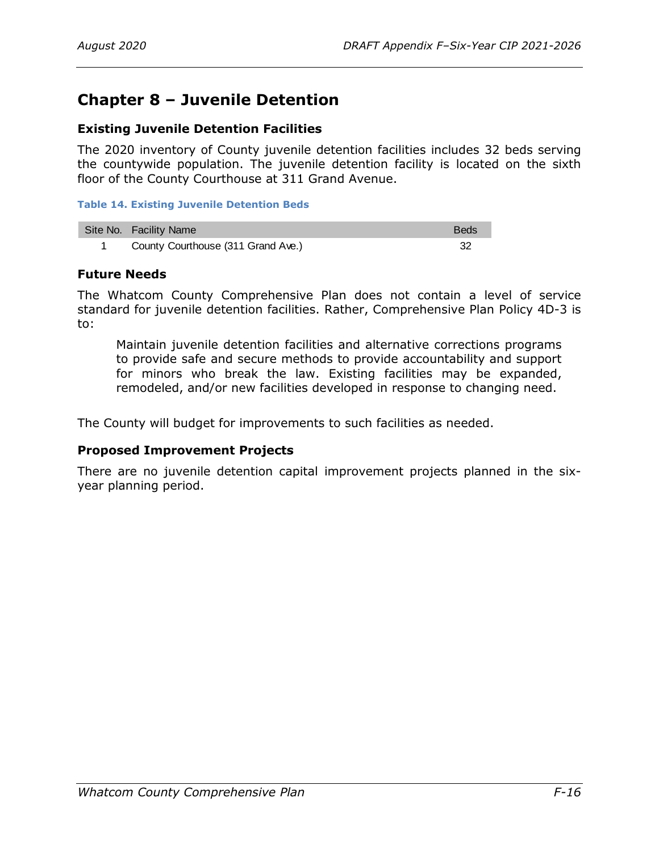# <span id="page-21-0"></span>**Chapter 8 – Juvenile Detention**

# <span id="page-21-1"></span>**Existing Juvenile Detention Facilities**

The 2020 inventory of County juvenile detention facilities includes 32 beds serving the countywide population. The juvenile detention facility is located on the sixth floor of the County Courthouse at 311 Grand Avenue.

### **Table 14. Existing Juvenile Detention Beds**

| Site No. Facility Name             | <b>Beds</b> |
|------------------------------------|-------------|
| County Courthouse (311 Grand Ave.) |             |

# <span id="page-21-2"></span>**Future Needs**

The Whatcom County Comprehensive Plan does not contain a level of service standard for juvenile detention facilities. Rather, Comprehensive Plan Policy 4D-3 is to:

Maintain juvenile detention facilities and alternative corrections programs to provide safe and secure methods to provide accountability and support for minors who break the law. Existing facilities may be expanded, remodeled, and/or new facilities developed in response to changing need.

The County will budget for improvements to such facilities as needed.

# <span id="page-21-3"></span>**Proposed Improvement Projects**

There are no juvenile detention capital improvement projects planned in the sixyear planning period.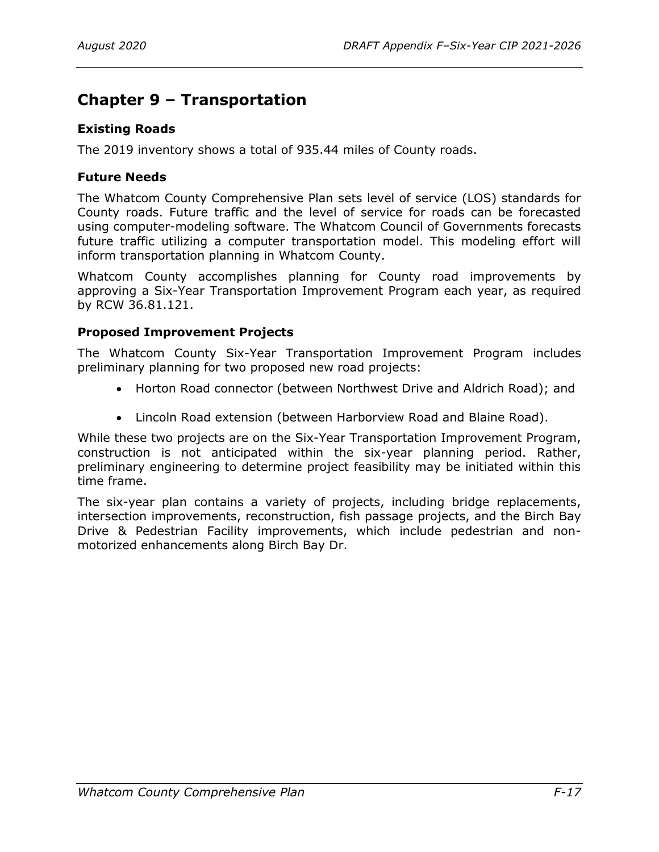# <span id="page-22-0"></span>**Chapter 9 – Transportation**

# <span id="page-22-1"></span>**Existing Roads**

The 2019 inventory shows a total of 935.44 miles of County roads.

# <span id="page-22-2"></span>**Future Needs**

The Whatcom County Comprehensive Plan sets level of service (LOS) standards for County roads. Future traffic and the level of service for roads can be forecasted using computer-modeling software. The Whatcom Council of Governments forecasts future traffic utilizing a computer transportation model. This modeling effort will inform transportation planning in Whatcom County.

Whatcom County accomplishes planning for County road improvements by approving a Six-Year Transportation Improvement Program each year, as required by RCW 36.81.121.

# <span id="page-22-3"></span>**Proposed Improvement Projects**

The Whatcom County Six-Year Transportation Improvement Program includes preliminary planning for two proposed new road projects:

- Horton Road connector (between Northwest Drive and Aldrich Road); and
- Lincoln Road extension (between Harborview Road and Blaine Road).

While these two projects are on the Six-Year Transportation Improvement Program, construction is not anticipated within the six-year planning period. Rather, preliminary engineering to determine project feasibility may be initiated within this time frame.

The six-year plan contains a variety of projects, including bridge replacements, intersection improvements, reconstruction, fish passage projects, and the Birch Bay Drive & Pedestrian Facility improvements, which include pedestrian and nonmotorized enhancements along Birch Bay Dr.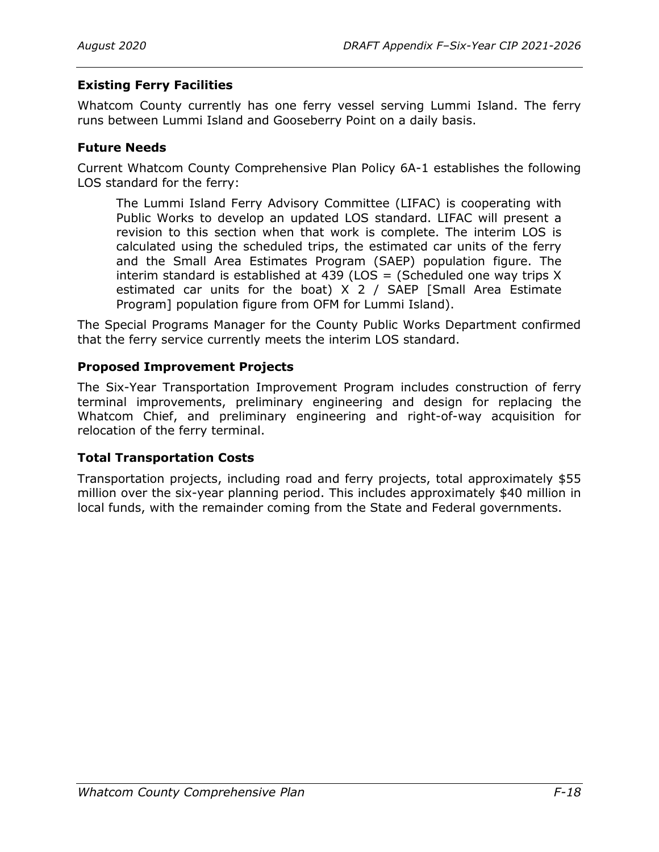# <span id="page-23-0"></span>**Existing Ferry Facilities**

Whatcom County currently has one ferry vessel serving Lummi Island. The ferry runs between Lummi Island and Gooseberry Point on a daily basis.

# <span id="page-23-1"></span>**Future Needs**

Current Whatcom County Comprehensive Plan Policy 6A-1 establishes the following LOS standard for the ferry:

The Lummi Island Ferry Advisory Committee (LIFAC) is cooperating with Public Works to develop an updated LOS standard. LIFAC will present a revision to this section when that work is complete. The interim LOS is calculated using the scheduled trips, the estimated car units of the ferry and the Small Area Estimates Program (SAEP) population figure. The interim standard is established at 439 (LOS = (Scheduled one way trips  $X$ estimated car units for the boat) X 2 / SAEP [Small Area Estimate Program] population figure from OFM for Lummi Island).

The Special Programs Manager for the County Public Works Department confirmed that the ferry service currently meets the interim LOS standard.

# <span id="page-23-2"></span>**Proposed Improvement Projects**

The Six-Year Transportation Improvement Program includes construction of ferry terminal improvements, preliminary engineering and design for replacing the Whatcom Chief, and preliminary engineering and right-of-way acquisition for relocation of the ferry terminal.

### <span id="page-23-3"></span>**Total Transportation Costs**

Transportation projects, including road and ferry projects, total approximately \$55 million over the six-year planning period. This includes approximately \$40 million in local funds, with the remainder coming from the State and Federal governments.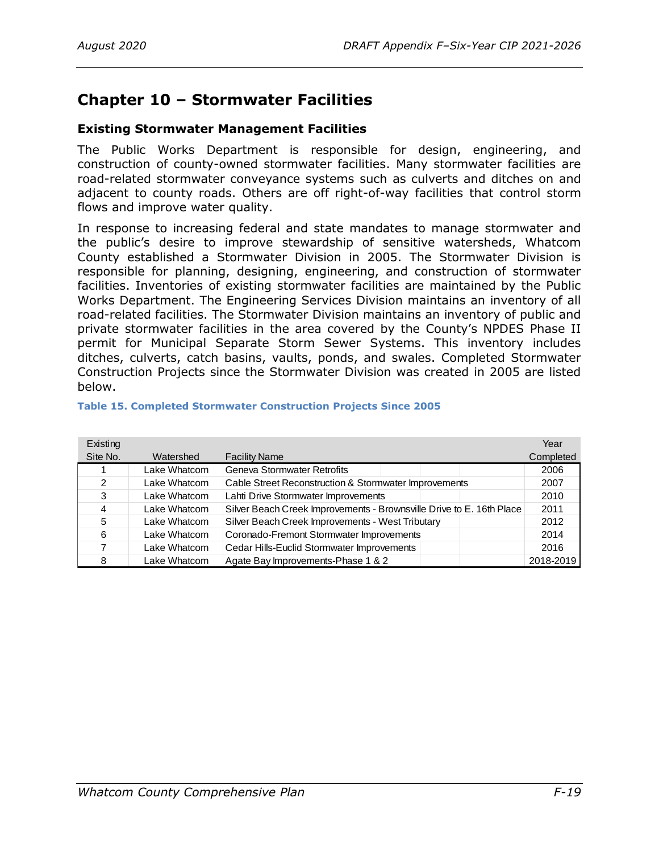# <span id="page-24-0"></span>**Chapter 10 – Stormwater Facilities**

# <span id="page-24-1"></span>**Existing Stormwater Management Facilities**

The Public Works Department is responsible for design, engineering, and construction of county-owned stormwater facilities. Many stormwater facilities are road-related stormwater conveyance systems such as culverts and ditches on and adjacent to county roads. Others are off right-of-way facilities that control storm flows and improve water quality.

In response to increasing federal and state mandates to manage stormwater and the public's desire to improve stewardship of sensitive watersheds, Whatcom County established a Stormwater Division in 2005. The Stormwater Division is responsible for planning, designing, engineering, and construction of stormwater facilities. Inventories of existing stormwater facilities are maintained by the Public Works Department. The Engineering Services Division maintains an inventory of all road-related facilities. The Stormwater Division maintains an inventory of public and private stormwater facilities in the area covered by the County's NPDES Phase II permit for Municipal Separate Storm Sewer Systems. This inventory includes ditches, culverts, catch basins, vaults, ponds, and swales. Completed Stormwater Construction Projects since the Stormwater Division was created in 2005 are listed below.

| Existing      |              |                                                                      | Year      |
|---------------|--------------|----------------------------------------------------------------------|-----------|
| Site No.      | Watershed    | <b>Facility Name</b>                                                 | Completed |
|               | Lake Whatcom | Geneva Stormwater Retrofits                                          | 2006      |
| $\mathcal{P}$ | Lake Whatcom | Cable Street Reconstruction & Stormwater Improvements                | 2007      |
| 3             | Lake Whatcom | Lahti Drive Stormwater Improvements                                  | 2010      |
| 4             | Lake Whatcom | Silver Beach Creek Improvements - Brownsville Drive to E. 16th Place | 2011      |
| 5             | Lake Whatcom | Silver Beach Creek Improvements - West Tributary                     | 2012      |
| 6             | Lake Whatcom | Coronado-Fremont Stormwater Improvements                             | 2014      |
|               | Lake Whatcom | Cedar Hills-Euclid Stormwater Improvements                           | 2016      |
| 8             | Lake Whatcom | Agate Bay Improvements-Phase 1 & 2                                   | 2018-2019 |

#### **Table 15. Completed Stormwater Construction Projects Since 2005**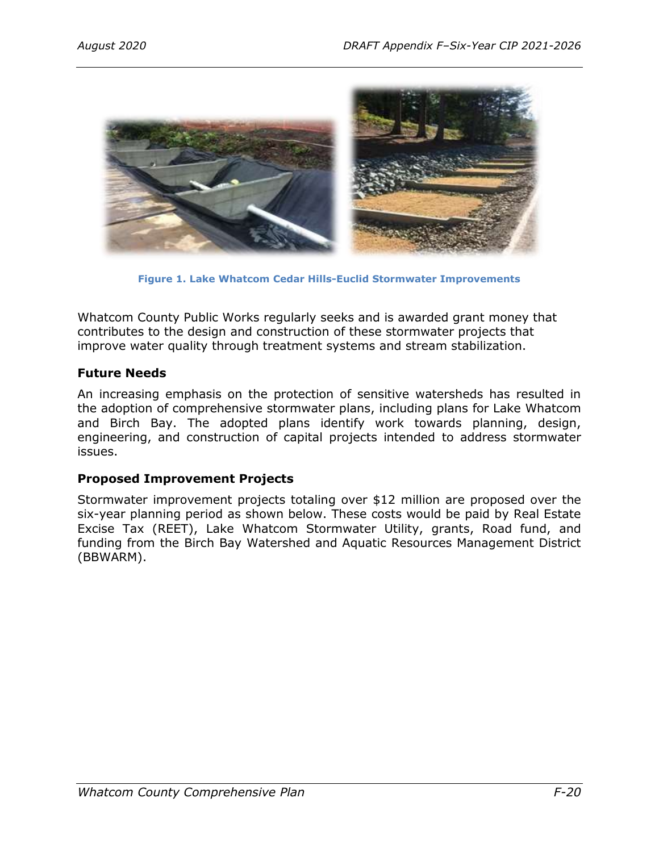

**Figure 1. Lake Whatcom Cedar Hills-Euclid Stormwater Improvements**

Whatcom County Public Works regularly seeks and is awarded grant money that contributes to the design and construction of these stormwater projects that improve water quality through treatment systems and stream stabilization.

# <span id="page-25-0"></span>**Future Needs**

An increasing emphasis on the protection of sensitive watersheds has resulted in the adoption of comprehensive stormwater plans, including plans for Lake Whatcom and Birch Bay. The adopted plans identify work towards planning, design, engineering, and construction of capital projects intended to address stormwater issues.

# <span id="page-25-1"></span>**Proposed Improvement Projects**

Stormwater improvement projects totaling over \$12 million are proposed over the six-year planning period as shown below. These costs would be paid by Real Estate Excise Tax (REET), Lake Whatcom Stormwater Utility, grants, Road fund, and funding from the Birch Bay Watershed and Aquatic Resources Management District (BBWARM).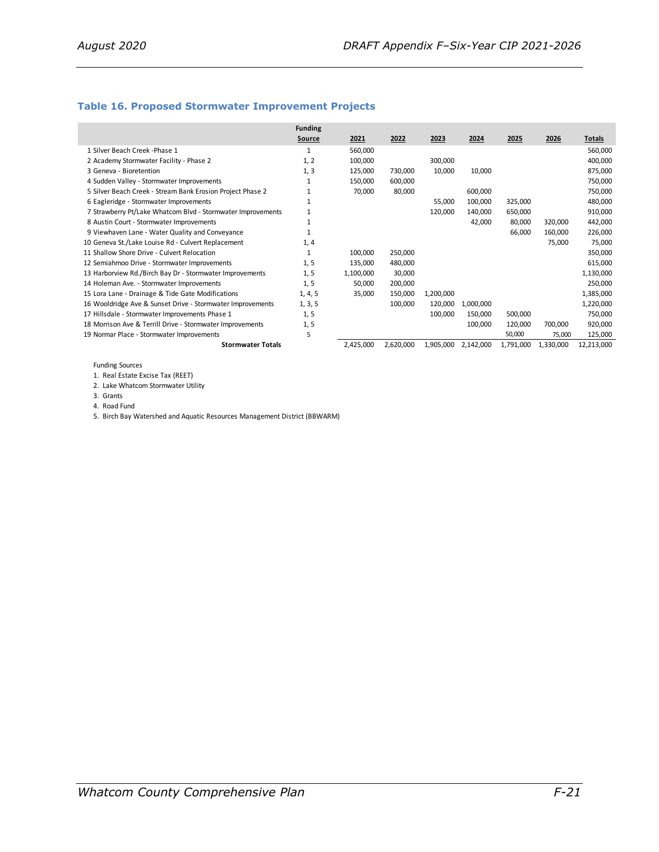#### **Table 16. Proposed Stormwater Improvement Projects**

|                                                             | <b>Funding</b> |           |           |           |           |           |           |               |
|-------------------------------------------------------------|----------------|-----------|-----------|-----------|-----------|-----------|-----------|---------------|
|                                                             | Source         | 2021      | 2022      | 2023      | 2024      | 2025      | 2026      | <b>Totals</b> |
| 1 Silver Beach Creek - Phase 1                              |                | 560,000   |           |           |           |           |           | 560,000       |
| 2 Academy Stormwater Facility - Phase 2                     | 1, 2           | 100,000   |           | 300,000   |           |           |           | 400,000       |
| 3 Geneva - Bioretention                                     | 1, 3           | 125,000   | 730,000   | 10,000    | 10,000    |           |           | 875,000       |
| 4 Sudden Valley - Stormwater Improvements                   |                | 150,000   | 600,000   |           |           |           |           | 750,000       |
| 5 Silver Beach Creek - Stream Bank Erosion Project Phase 2  |                | 70,000    | 80,000    |           | 600,000   |           |           | 750,000       |
| 6 Eagleridge - Stormwater Improvements                      |                |           |           | 55,000    | 100,000   | 325,000   |           | 480,000       |
| 7 Strawberry Pt/Lake Whatcom Blvd - Stormwater Improvements |                |           |           | 120,000   | 140,000   | 650,000   |           | 910,000       |
| 8 Austin Court - Stormwater Improvements                    |                |           |           |           | 42,000    | 80,000    | 320,000   | 442,000       |
| 9 Viewhaven Lane - Water Quality and Conveyance             |                |           |           |           |           | 66,000    | 160,000   | 226,000       |
| 10 Geneva St./Lake Louise Rd - Culvert Replacement          | 1, 4           |           |           |           |           |           | 75,000    | 75,000        |
| 11 Shallow Shore Drive - Culvert Relocation                 |                | 100,000   | 250,000   |           |           |           |           | 350,000       |
| 12 Semiahmoo Drive - Stormwater Improvements                | 1, 5           | 135,000   | 480,000   |           |           |           |           | 615,000       |
| 13 Harborview Rd./Birch Bay Dr - Stormwater Improvements    | 1, 5           | 1,100,000 | 30,000    |           |           |           |           | 1,130,000     |
| 14 Holeman Ave. - Stormwater Improvements                   | 1, 5           | 50,000    | 200,000   |           |           |           |           | 250,000       |
| 15 Lora Lane - Drainage & Tide Gate Modifications           | 1, 4, 5        | 35,000    | 150,000   | 1,200,000 |           |           |           | 1,385,000     |
| 16 Wooldridge Ave & Sunset Drive - Stormwater Improvements  | 1, 3, 5        |           | 100,000   | 120,000   | 1,000,000 |           |           | 1,220,000     |
| 17 Hillsdale - Stormwater Improvements Phase 1              | 1, 5           |           |           | 100,000   | 150,000   | 500,000   |           | 750,000       |
| 18 Morrison Ave & Terrill Drive - Stormwater Improvements   | 1, 5           |           |           |           | 100,000   | 120,000   | 700,000   | 920,000       |
| 19 Normar Place - Stormwater Improvements                   | 5              |           |           |           |           | 50,000    | 75,000    | 125,000       |
| <b>Stormwater Totals</b>                                    |                | 2,425,000 | 2,620,000 | 1,905,000 | 2,142,000 | 1,791,000 | 1,330,000 | 12,213,000    |

Funding Sources

1. Real Estate Excise Tax (REET)

2. Lake Whatcom Stormwater Utility

5. Birch Bay Watershed and Aquatic Resources Management District (BBWARM)

<sup>3.</sup> Grants 4. Road Fund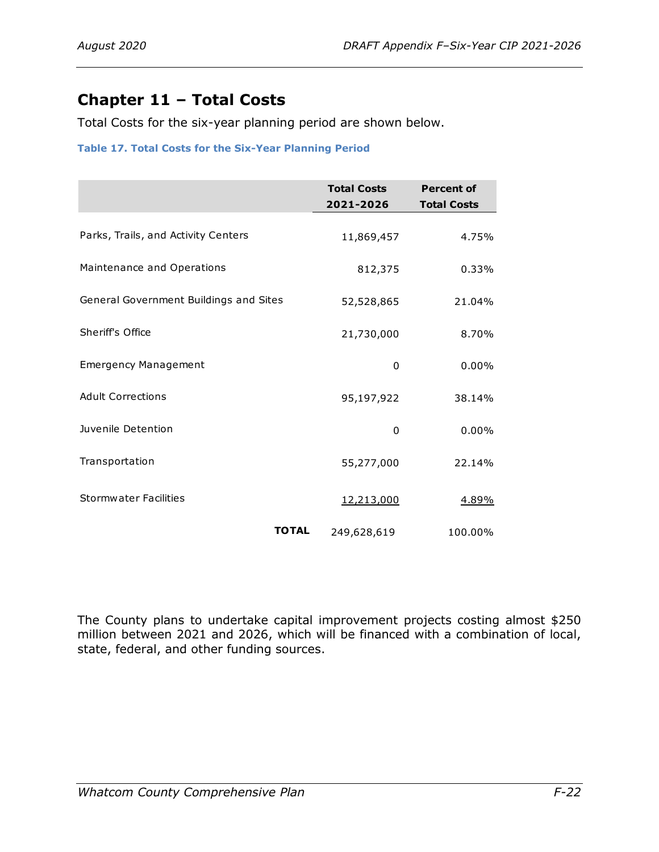# <span id="page-27-0"></span>**Chapter 11 – Total Costs**

Total Costs for the six-year planning period are shown below.

### **Table 17. Total Costs for the Six-Year Planning Period**

|                                        | <b>Total Costs</b><br>2021-2026 | <b>Percent of</b><br><b>Total Costs</b> |
|----------------------------------------|---------------------------------|-----------------------------------------|
| Parks, Trails, and Activity Centers    | 11,869,457                      | 4.75%                                   |
| Maintenance and Operations             | 812,375                         | 0.33%                                   |
| General Government Buildings and Sites | 52,528,865                      | 21.04%                                  |
| Sheriff's Office                       | 21,730,000                      | 8.70%                                   |
| <b>Emergency Management</b>            | 0                               | 0.00%                                   |
| <b>Adult Corrections</b>               | 95,197,922                      | 38.14%                                  |
| Juvenile Detention                     | 0                               | $0.00\%$                                |
| Transportation                         | 55,277,000                      | 22.14%                                  |
| <b>Stormwater Facilities</b>           | 12,213,000                      | 4.89%                                   |
| <b>TOTAL</b>                           | 249,628,619                     | 100.00%                                 |

The County plans to undertake capital improvement projects costing almost \$250 million between 2021 and 2026, which will be financed with a combination of local, state, federal, and other funding sources.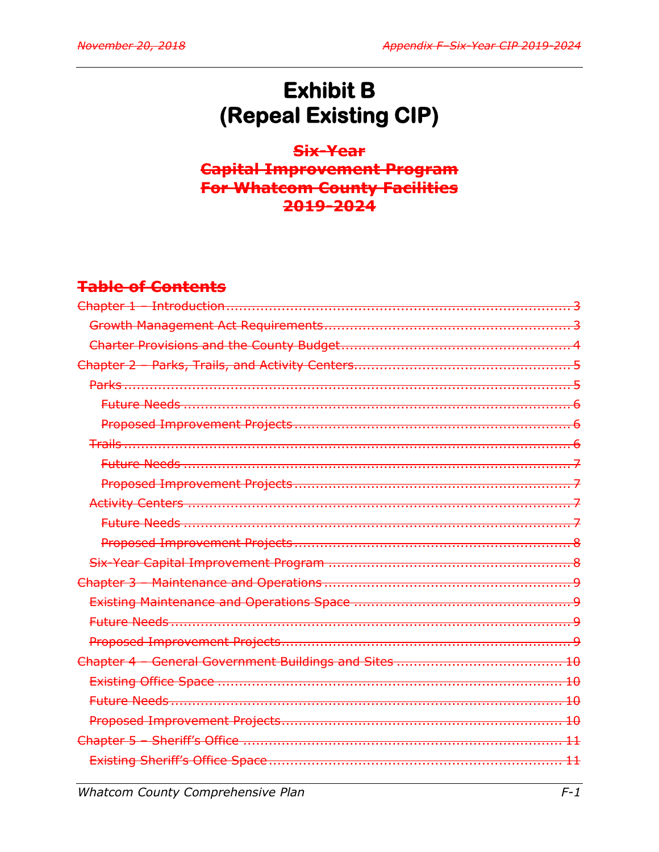# **Exhibit B** (Repeal Existing CIP)

Six-Year **Capital Improvement Program** For Whatcom County Facilities 2019-2024

# **Table of Contents**

| $\overline{+0}$ |
|-----------------|
|                 |
|                 |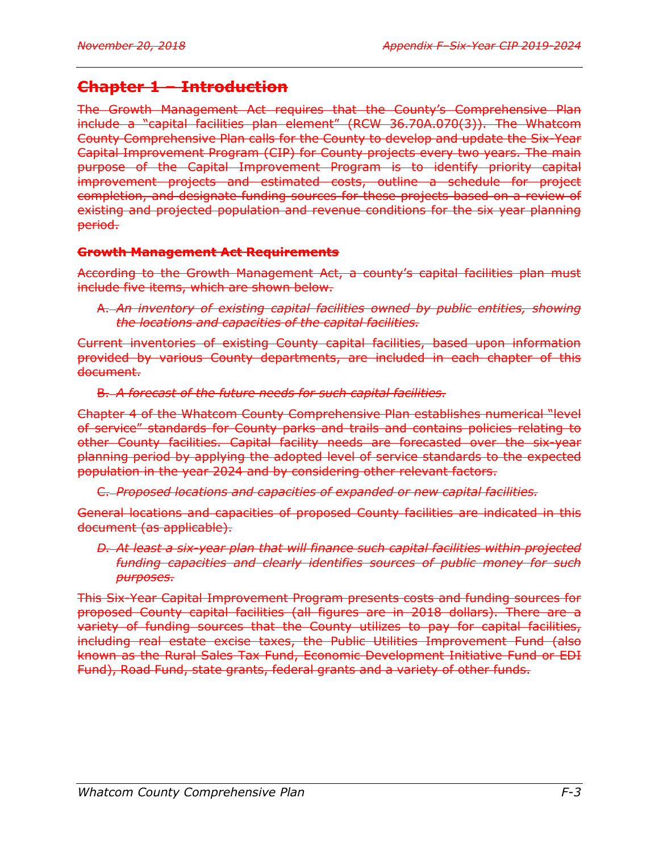# **Chapter 1 – Introduction**

The Growth Management Act requires that the County's Comprehensive Plan include a "capital facilities plan element" (RCW 36.70A.070(3)). The Whatcom County Comprehensive Plan calls for the County to develop and update the Six-Year Capital Improvement Program (CIP) for County projects every two years. The main purpose of the Capital Improvement Program is to identify priority capital improvement projects and estimated costs, outline a schedule for project completion, and designate funding sources for these projects based on a review of existing and projected population and revenue conditions for the six year planning period.

# **Growth Management Act Requirements**

According to the Growth Management Act, a county's capital facilities plan must include five items, which are shown below.

# A. *An inventory of existing capital facilities owned by public entities, showing the locations and capacities of the capital facilities.*

Current inventories of existing County capital facilities, based upon information provided by various County departments, are included in each chapter of this document.

# B. *A forecast of the future needs for such capital facilities.*

Chapter 4 of the Whatcom County Comprehensive Plan establishes numerical "level of service" standards for County parks and trails and contains policies relating to other County facilities. Capital facility needs are forecasted over the six-year planning period by applying the adopted level of service standards to the expected population in the year 2024 and by considering other relevant factors.

# C. *Proposed locations and capacities of expanded or new capital facilities.*

General locations and capacities of proposed County facilities are indicated in this document (as applicable).

*D. At least a six-year plan that will finance such capital facilities within projected funding capacities and clearly identifies sources of public money for such purposes.*

This Six-Year Capital Improvement Program presents costs and funding sources for proposed County capital facilities (all figures are in 2018 dollars). There are a variety of funding sources that the County utilizes to pay for capital facilities, including real estate excise taxes, the Public Utilities Improvement Fund (also known as the Rural Sales Tax Fund, Economic Development Initiative Fund or EDI Fund), Road Fund, state grants, federal grants and a variety of other funds.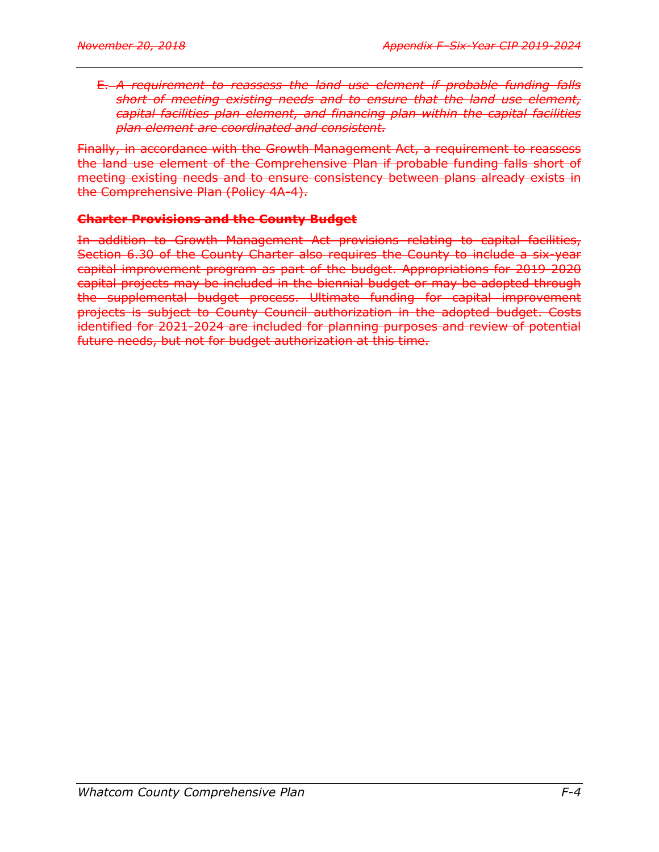E. *A requirement to reassess the land use element if probable funding falls short of meeting existing needs and to ensure that the land use element, capital facilities plan element, and financing plan within the capital facilities plan element are coordinated and consistent.*

Finally, in accordance with the Growth Management Act, a requirement to reassess the land use element of the Comprehensive Plan if probable funding falls short of meeting existing needs and to ensure consistency between plans already exists in the Comprehensive Plan (Policy 4A-4).

# **Charter Provisions and the County Budget**

In addition to Growth Management Act provisions relating to capital facilities, Section 6.30 of the County Charter also requires the County to include a six-year capital improvement program as part of the budget. Appropriations for 2019-2020 capital projects may be included in the biennial budget or may be adopted through the supplemental budget process. Ultimate funding for capital improvement projects is subject to County Council authorization in the adopted budget. Costs identified for 2021-2024 are included for planning purposes and review of potential future needs, but not for budget authorization at this time.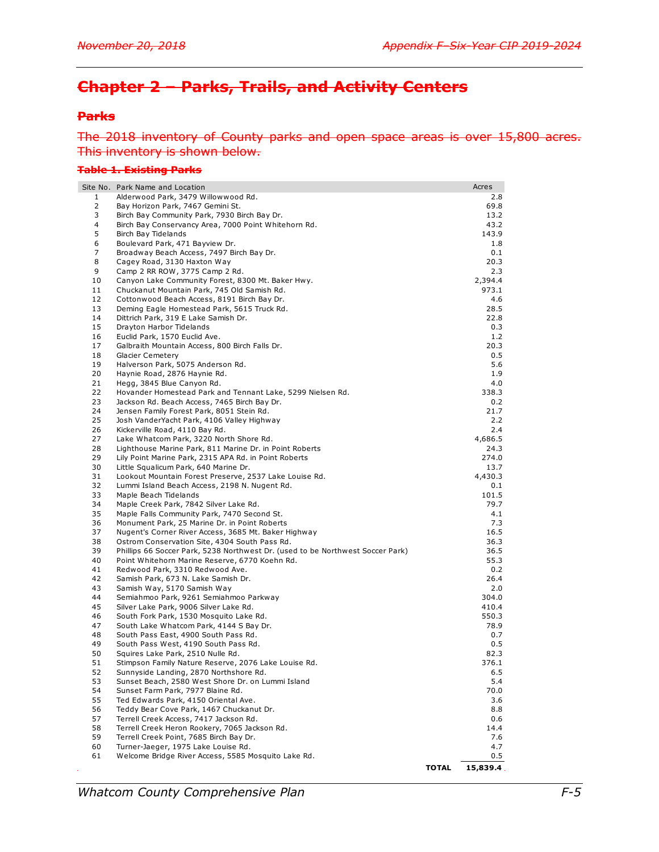# **Chapter 2 – Parks, Trails, and Activity Centers**

### **Parks**

### The 2018 inventory of County parks and open space areas is over 15,800 acres. This inventory is shown below.

#### **Table 1. Existing Parks**

|                | Site No. Park Name and Location                                                             |              | Acres         |
|----------------|---------------------------------------------------------------------------------------------|--------------|---------------|
| $\mathbf{1}$   | Alderwood Park, 3479 Willowwood Rd.                                                         |              | 2.8           |
| 2              | Bay Horizon Park, 7467 Gemini St.                                                           |              | 69.8          |
| 3              | Birch Bay Community Park, 7930 Birch Bay Dr.                                                |              | 13.2          |
| $\overline{4}$ | Birch Bay Conservancy Area, 7000 Point Whitehorn Rd.                                        |              | 43.2          |
| 5<br>6         | Birch Bay Tidelands<br>Boulevard Park, 471 Bayview Dr.                                      |              | 143.9<br>1.8  |
| 7              | Broadway Beach Access, 7497 Birch Bay Dr.                                                   |              | 0.1           |
| 8              | Cagey Road, 3130 Haxton Way                                                                 |              | 20.3          |
| 9              | Camp 2 RR ROW, 3775 Camp 2 Rd.                                                              |              | 2.3           |
| 10             | Canyon Lake Community Forest, 8300 Mt. Baker Hwy.                                           |              | 2,394.4       |
| 11             | Chuckanut Mountain Park, 745 Old Samish Rd.                                                 |              | 973.1         |
| 12             | Cottonwood Beach Access, 8191 Birch Bay Dr.                                                 |              | 4.6           |
| 13             | Deming Eagle Homestead Park, 5615 Truck Rd.                                                 |              | 28.5          |
| 14             | Dittrich Park, 319 E Lake Samish Dr.                                                        |              | 22.8          |
| 15<br>16       | Drayton Harbor Tidelands<br>Euclid Park, 1570 Euclid Ave.                                   |              | 0.3<br>1.2    |
| 17             | Galbraith Mountain Access, 800 Birch Falls Dr.                                              |              | 20.3          |
| 18             | <b>Glacier Cemetery</b>                                                                     |              | 0.5           |
| 19             | Halverson Park, 5075 Anderson Rd.                                                           |              | 5.6           |
| 20             | Haynie Road, 2876 Haynie Rd.                                                                |              | 1.9           |
| 21             | Hegg, 3845 Blue Canyon Rd.                                                                  |              | 4.0           |
| 22             | Hovander Homestead Park and Tennant Lake, 5299 Nielsen Rd.                                  |              | 338.3         |
| 23             | Jackson Rd. Beach Access, 7465 Birch Bay Dr.                                                |              | 0.2           |
| 24<br>25       | Jensen Family Forest Park, 8051 Stein Rd.<br>Josh VanderYacht Park, 4106 Valley Highway     |              | 21.7<br>2.2   |
| 26             | Kickerville Road, 4110 Bay Rd.                                                              |              | 2.4           |
| 27             | Lake Whatcom Park, 3220 North Shore Rd.                                                     |              | 4,686.5       |
| 28             | Lighthouse Marine Park, 811 Marine Dr. in Point Roberts                                     |              | 24.3          |
| 29             | Lily Point Marine Park, 2315 APA Rd. in Point Roberts                                       |              | 274.0         |
| 30             | Little Squalicum Park, 640 Marine Dr.                                                       |              | 13.7          |
| 31             | Lookout Mountain Forest Preserve, 2537 Lake Louise Rd.                                      |              | 4,430.3       |
| 32             | Lummi Island Beach Access, 2198 N. Nugent Rd.                                               |              | 0.1           |
| 33<br>34       | Maple Beach Tidelands<br>Maple Creek Park, 7842 Silver Lake Rd.                             |              | 101.5<br>79.7 |
| 35             | Maple Falls Community Park, 7470 Second St.                                                 |              | 4.1           |
| 36             | Monument Park, 25 Marine Dr. in Point Roberts                                               |              | 7.3           |
| 37             | Nugent's Corner River Access, 3685 Mt. Baker Highway                                        |              | 16.5          |
| 38             | Ostrom Conservation Site, 4304 South Pass Rd.                                               |              | 36.3          |
| 39             | Phillips 66 Soccer Park, 5238 Northwest Dr. (used to be Northwest Soccer Park)              |              | 36.5          |
| 40             | Point Whitehorn Marine Reserve, 6770 Koehn Rd.                                              |              | 55.3          |
| 41             | Redwood Park, 3310 Redwood Ave.                                                             |              | 0.2           |
| 42<br>43       | Samish Park, 673 N. Lake Samish Dr.                                                         |              | 26.4<br>2.0   |
| 44             | Samish Way, 5170 Samish Way<br>Semiahmoo Park, 9261 Semiahmoo Parkway                       |              | 304.0         |
| 45             | Silver Lake Park, 9006 Silver Lake Rd.                                                      |              | 410.4         |
| 46             | South Fork Park, 1530 Mosquito Lake Rd.                                                     |              | 550.3         |
| 47             | South Lake Whatcom Park, 4144 S Bay Dr.                                                     |              | 78.9          |
| 48             | South Pass East, 4900 South Pass Rd.                                                        |              | 0.7           |
| 49             | South Pass West, 4190 South Pass Rd.                                                        |              | 0.5           |
| 50             | Squires Lake Park, 2510 Nulle Rd.                                                           |              | 82.3          |
| 51             | Stimpson Family Nature Reserve, 2076 Lake Louise Rd.                                        |              | 376.1         |
| 52<br>53       | Sunnyside Landing, 2870 Northshore Rd.<br>Sunset Beach, 2580 West Shore Dr. on Lummi Island |              | 6.5<br>5.4    |
| 54             | Sunset Farm Park, 7977 Blaine Rd.                                                           |              | 70.0          |
| 55             | Ted Edwards Park, 4150 Oriental Ave.                                                        |              | 3.6           |
| 56             | Teddy Bear Cove Park, 1467 Chuckanut Dr.                                                    |              | 8.8           |
| 57             | Terrell Creek Access, 7417 Jackson Rd.                                                      |              | 0.6           |
| 58             | Terrell Creek Heron Rookery, 7065 Jackson Rd.                                               |              | 14.4          |
| 59             | Terrell Creek Point, 7685 Birch Bay Dr.                                                     |              | 7.6           |
| 60             | Turner-Jaeger, 1975 Lake Louise Rd.                                                         |              | 4.7           |
| 61             | Welcome Bridge River Access, 5585 Mosquito Lake Rd.                                         |              | 0.5           |
|                |                                                                                             | <b>TOTAL</b> | 15,839.4.     |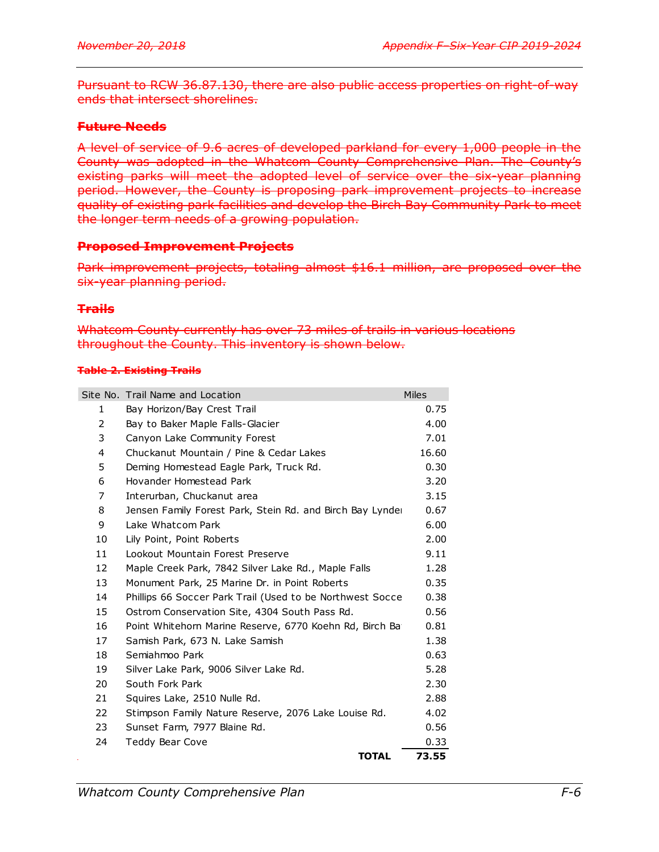Pursuant to RCW 36.87.130, there are also public access properties on right-of-way ends that intersect shorelines.

# **Future Needs**

A level of service of 9.6 acres of developed parkland for every 1,000 people in the County was adopted in the Whatcom County Comprehensive Plan. The County's existing parks will meet the adopted level of service over the six-year planning period. However, the County is proposing park improvement projects to increase quality of existing park facilities and develop the Birch Bay Community Park to meet the longer term needs of a growing population.

# **Proposed Improvement Projects**

Park improvement projects, totaling almost \$16.1 million, are proposed over the six-year planning period.

### **Trails**

Whatcom County currently has over 73 miles of trails in various locations throughout the County. This inventory is shown below.

### **Table 2. Existing Trails**

|    | Site No. Trail Name and Location                          | <b>Miles</b> |
|----|-----------------------------------------------------------|--------------|
| 1  | Bay Horizon/Bay Crest Trail                               | 0.75         |
| 2  | Bay to Baker Maple Falls-Glacier                          | 4.00         |
| 3  | Canyon Lake Community Forest                              | 7.01         |
| 4  | Chuckanut Mountain / Pine & Cedar Lakes                   | 16.60        |
| 5  | Deming Homestead Eagle Park, Truck Rd.                    | 0.30         |
| 6  | Hovander Homestead Park                                   | 3.20         |
| 7  | Interurban, Chuckanut area                                | 3.15         |
| 8  | Jensen Family Forest Park, Stein Rd. and Birch Bay Lynder | 0.67         |
| 9  | Lake Whatcom Park                                         | 6.00         |
| 10 | Lily Point, Point Roberts                                 | 2.00         |
| 11 | Lookout Mountain Forest Preserve                          | 9.11         |
| 12 | Maple Creek Park, 7842 Silver Lake Rd., Maple Falls       | 1.28         |
| 13 | Monument Park, 25 Marine Dr. in Point Roberts             | 0.35         |
| 14 | Phillips 66 Soccer Park Trail (Used to be Northwest Socce | 0.38         |
| 15 | Ostrom Conservation Site, 4304 South Pass Rd.             | 0.56         |
| 16 | Point Whitehorn Marine Reserve, 6770 Koehn Rd, Birch Ba   | 0.81         |
| 17 | Samish Park, 673 N. Lake Samish                           | 1.38         |
| 18 | Semiahmoo Park                                            | 0.63         |
| 19 | Silver Lake Park, 9006 Silver Lake Rd.                    | 5.28         |
| 20 | South Fork Park                                           | 2.30         |
| 21 | Squires Lake, 2510 Nulle Rd.                              | 2.88         |
| 22 | Stimpson Family Nature Reserve, 2076 Lake Louise Rd.      | 4.02         |
| 23 | Sunset Farm, 7977 Blaine Rd.                              | 0.56         |
| 24 | <b>Teddy Bear Cove</b>                                    | 0.33         |
|    | <b>TOTAL</b>                                              | 73.55        |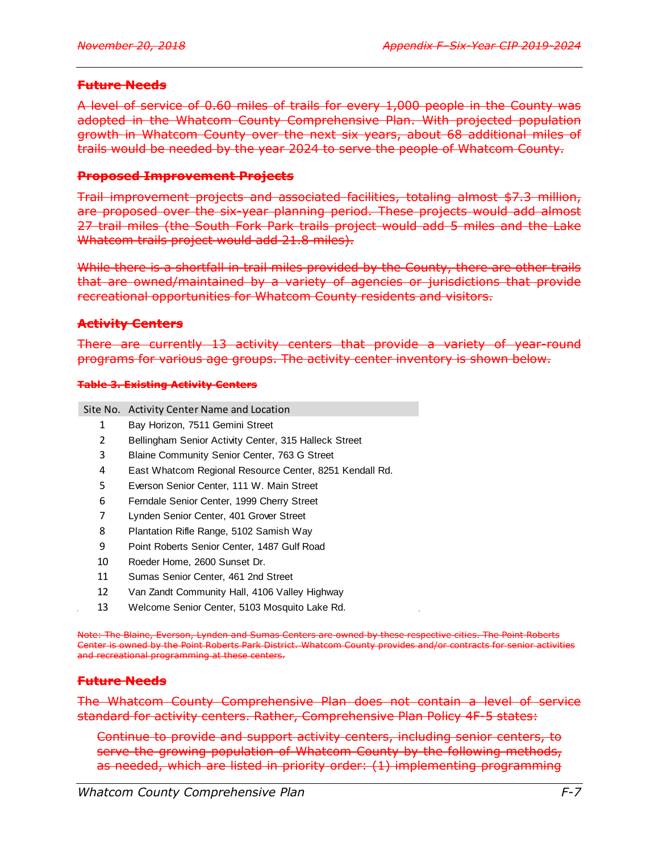### **Future Needs**

A level of service of 0.60 miles of trails for every 1,000 people in the County was adopted in the Whatcom County Comprehensive Plan. With projected population growth in Whatcom County over the next six years, about 68 additional miles of trails would be needed by the year 2024 to serve the people of Whatcom County.

### **Proposed Improvement Projects**

Trail improvement projects and associated facilities, totaling almost \$7.3 million, are proposed over the six-year planning period. These projects would add almost 27 trail miles (the South Fork Park trails project would add 5 miles and the Lake Whatcom trails project would add 21.8 miles).

While there is a shortfall in trail miles provided by the County, there are other trails that are owned/maintained by a variety of agencies or jurisdictions that provide recreational opportunities for Whatcom County residents and visitors.

### **Activity Centers**

There are currently 13 activity centers that provide a variety of year-round programs for various age groups. The activity center inventory is shown below.

#### **Table 3. Existing Activity Centers**

Site No. Activity Center Name and Location

- 1 Bay Horizon, 7511 Gemini Street
- 2 Bellingham Senior Activity Center, 315 Halleck Street
- 3 Blaine Community Senior Center, 763 G Street
- 4 East Whatcom Regional Resource Center, 8251 Kendall Rd.
- 5 Everson Senior Center, 111 W. Main Street
- 6 Ferndale Senior Center, 1999 Cherry Street
- 7 Lynden Senior Center, 401 Grover Street
- 8 Plantation Rifle Range, 5102 Samish Way
- 9 Point Roberts Senior Center, 1487 Gulf Road
- 10 Roeder Home, 2600 Sunset Dr.
- 11 Sumas Senior Center, 461 2nd Street
- 12 Van Zandt Community Hall, 4106 Valley Highway
- 13 Welcome Senior Center, 5103 Mosquito Lake Rd.

Note: The Blaine, Everson, Lynden and Sumas Centers are owned by these respective cities. The Point Roberts Center is owned by the Point Roberts Park District. Whatcom County provides and/or contracts for senior activities and recreational programming at these centers.

### **Future Needs**

The Whatcom County Comprehensive Plan does not contain a level of service standard for activity centers. Rather, Comprehensive Plan Policy 4F-5 states:

Continue to provide and support activity centers, including senior centers, to serve the growing population of Whatcom County by the following methods, as needed, which are listed in priority order: (1) implementing programming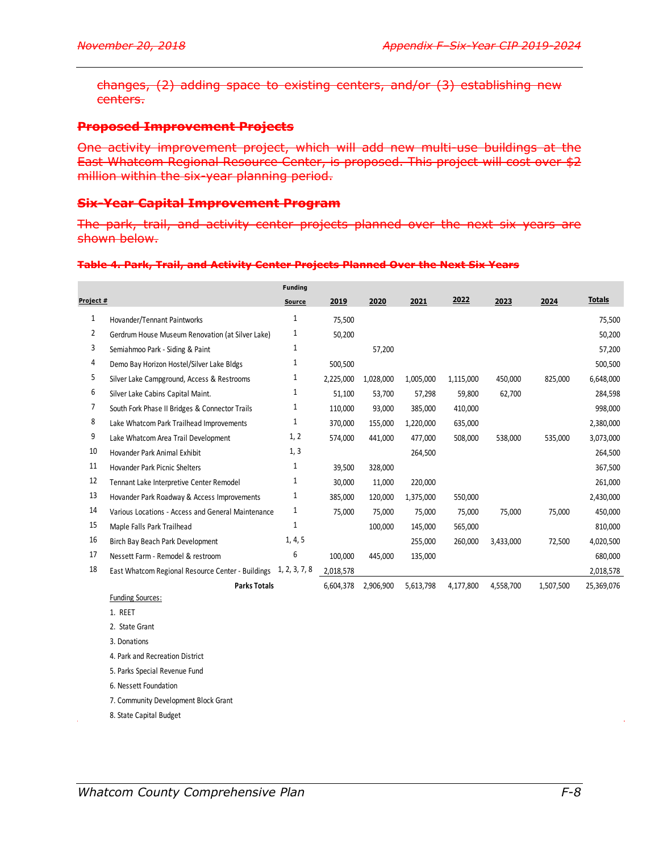changes, (2) adding space to existing centers, and/or (3) establishing new centers.

### **Proposed Improvement Projects**

One activity improvement project, which will add new multi-use buildings at the East Whatcom Regional Resource Center, is proposed. This project will cost over \$2 million within the six-year planning period.

### **Six-Year Capital Improvement Program**

The park, trail, and activity center projects planned over the next six years are shown below.

#### **Table 4. Park, Trail, and Activity Center Projects Planned Over the Next Six Years**

|                |                                                                 | <b>Funding</b> |           |           |           |           |           |           |               |
|----------------|-----------------------------------------------------------------|----------------|-----------|-----------|-----------|-----------|-----------|-----------|---------------|
| Project #      |                                                                 | Source         | 2019      | 2020      | 2021      | 2022      | 2023      | 2024      | <b>Totals</b> |
| 1              | Hovander/Tennant Paintworks                                     | 1              | 75,500    |           |           |           |           |           | 75,500        |
| $\overline{2}$ | Gerdrum House Museum Renovation (at Silver Lake)                | $\mathbf{1}$   | 50,200    |           |           |           |           |           | 50,200        |
| 3              | Semiahmoo Park - Siding & Paint                                 | $\mathbf{1}$   |           | 57,200    |           |           |           |           | 57,200        |
| 4              | Demo Bay Horizon Hostel/Silver Lake Bldgs                       | $\mathbf{1}$   | 500,500   |           |           |           |           |           | 500,500       |
| 5              | Silver Lake Campground, Access & Restrooms                      | 1              | 2,225,000 | 1,028,000 | 1,005,000 | 1,115,000 | 450,000   | 825,000   | 6,648,000     |
| 6              | Silver Lake Cabins Capital Maint.                               | $\mathbf{1}$   | 51,100    | 53,700    | 57,298    | 59,800    | 62,700    |           | 284,598       |
| 7              | South Fork Phase II Bridges & Connector Trails                  | 1              | 110,000   | 93,000    | 385,000   | 410,000   |           |           | 998,000       |
| 8              | Lake Whatcom Park Trailhead Improvements                        | $\mathbf{1}$   | 370,000   | 155,000   | 1,220,000 | 635,000   |           |           | 2,380,000     |
| 9              | Lake Whatcom Area Trail Development                             | 1, 2           | 574,000   | 441,000   | 477,000   | 508,000   | 538,000   | 535,000   | 3,073,000     |
| 10             | Hovander Park Animal Exhibit                                    | 1, 3           |           |           | 264,500   |           |           |           | 264,500       |
| 11             | <b>Hovander Park Picnic Shelters</b>                            | $\mathbf{1}$   | 39,500    | 328,000   |           |           |           |           | 367,500       |
| 12             | Tennant Lake Interpretive Center Remodel                        | 1              | 30,000    | 11,000    | 220,000   |           |           |           | 261,000       |
| 13             | Hovander Park Roadway & Access Improvements                     | 1              | 385,000   | 120,000   | 1,375,000 | 550,000   |           |           | 2,430,000     |
| 14             | Various Locations - Access and General Maintenance              | $\mathbf{1}$   | 75,000    | 75,000    | 75,000    | 75,000    | 75,000    | 75,000    | 450,000       |
| 15             | Maple Falls Park Trailhead                                      | 1              |           | 100,000   | 145,000   | 565,000   |           |           | 810,000       |
| 16             | Birch Bay Beach Park Development                                | 1, 4, 5        |           |           | 255,000   | 260,000   | 3,433,000 | 72,500    | 4,020,500     |
| 17             | Nessett Farm - Remodel & restroom                               | 6              | 100,000   | 445,000   | 135,000   |           |           |           | 680,000       |
| 18             | East Whatcom Regional Resource Center - Buildings 1, 2, 3, 7, 8 |                | 2,018,578 |           |           |           |           |           | 2,018,578     |
|                | <b>Parks Totals</b>                                             |                | 6,604,378 | 2,906,900 | 5,613,798 | 4,177,800 | 4,558,700 | 1,507,500 | 25,369,076    |
|                | <b>Funding Sources:</b>                                         |                |           |           |           |           |           |           |               |
|                | 1. REET                                                         |                |           |           |           |           |           |           |               |
|                | 2. State Grant                                                  |                |           |           |           |           |           |           |               |
|                | 3. Donations                                                    |                |           |           |           |           |           |           |               |
|                | 4. Park and Recreation District                                 |                |           |           |           |           |           |           |               |
|                | 5. Parks Special Revenue Fund                                   |                |           |           |           |           |           |           |               |
|                | 6. Nessett Foundation                                           |                |           |           |           |           |           |           |               |
|                | 7. Community Development Block Grant                            |                |           |           |           |           |           |           |               |

8. State Capital Budget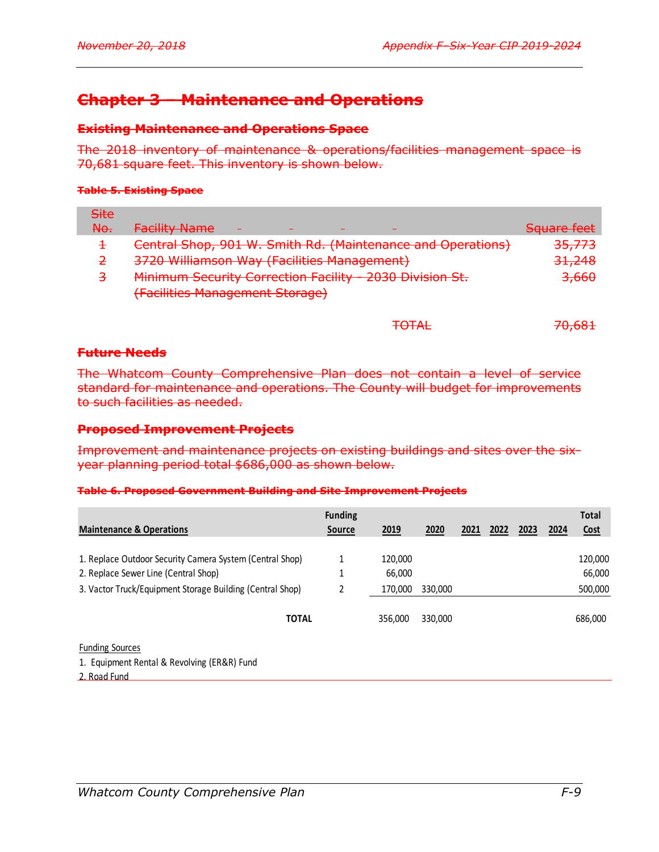TOTAL 70,681

# **Chapter 3 – Maintenance and Operations**

### **Existing Maintenance and Operations Space**

The 2018 inventory of maintenance & operations/facilities management space is 70,681 square feet. This inventory is shown below.

#### **Table 5. Existing Space**

| <del>Site</del> |                                                                                                           |                   |
|-----------------|-----------------------------------------------------------------------------------------------------------|-------------------|
| <del>No.</del>  | <b>Facility Name</b>                                                                                      | Sauare feet       |
|                 | Central Shop, 901 W. Smith Rd. (Maintenance and Operations)                                               | <del>35,773</del> |
| 2               | 3720 Williamson Way (Facilities Management)                                                               | 31,248            |
| 3               | Minimum Security Correction Facility - 2030 Division St.<br><del>rmmmum security correction racinty</del> | <del>3,660</del>  |
|                 | (Facilities Management Storage)                                                                           |                   |
|                 |                                                                                                           |                   |

### **Future Needs**

The Whatcom County Comprehensive Plan does not contain a level of service standard for maintenance and operations. The County will budget for improvements to such facilities as needed.

### **Proposed Improvement Projects**

Improvement and maintenance projects on existing buildings and sites over the sixyear planning period total \$686,000 as shown below.

#### **Table 6. Proposed Government Building and Site Improvement Projects**

|                                                           | <b>Funding</b> |         |         |      |      |      |      | <b>Total</b> |
|-----------------------------------------------------------|----------------|---------|---------|------|------|------|------|--------------|
| <b>Maintenance &amp; Operations</b>                       | Source         | 2019    | 2020    | 2021 | 2022 | 2023 | 2024 | <u>Cost</u>  |
|                                                           |                |         |         |      |      |      |      |              |
| 1. Replace Outdoor Security Camera System (Central Shop)  |                | 120,000 |         |      |      |      |      | 120,000      |
| 2. Replace Sewer Line (Central Shop)                      |                | 66,000  |         |      |      |      |      | 66,000       |
| 3. Vactor Truck/Equipment Storage Building (Central Shop) | 2              | 170,000 | 330,000 |      |      |      |      | 500,000      |
|                                                           |                |         |         |      |      |      |      |              |
| <b>TOTAL</b>                                              |                | 356.000 | 330,000 |      |      |      |      | 686,000      |
|                                                           |                |         |         |      |      |      |      |              |
| <b>Funding Sources</b>                                    |                |         |         |      |      |      |      |              |
| 1. Equipment Rental & Revolving (ER&R) Fund               |                |         |         |      |      |      |      |              |

2. Road Fund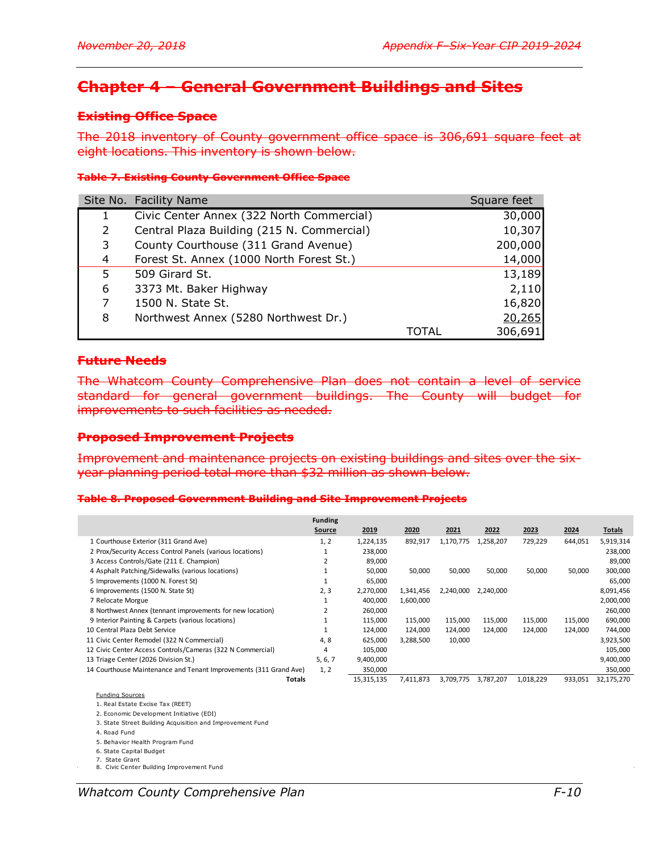# **Chapter 4 – General Government Buildings and Sites**

### **Existing Office Space**

The 2018 inventory of County government office space is 306,691 square feet at eight locations. This inventory is shown below.

### **Table 7. Existing County Government Office Space**

|    | Site No. Facility Name                     |       | Square feet |
|----|--------------------------------------------|-------|-------------|
|    | Civic Center Annex (322 North Commercial)  |       | 30,000      |
| 2  | Central Plaza Building (215 N. Commercial) |       | 10,307      |
| 3  | County Courthouse (311 Grand Avenue)       |       | 200,000     |
| 4  | Forest St. Annex (1000 North Forest St.)   |       | 14,000      |
| 5. | 509 Girard St.                             |       | 13,189      |
| 6  | 3373 Mt. Baker Highway                     |       | 2,110       |
| 7  | 1500 N. State St.                          |       | 16,820      |
| 8  | Northwest Annex (5280 Northwest Dr.)       |       | 20,265      |
|    |                                            | TOTAL | 306,691     |

### **Future Needs**

The Whatcom County Comprehensive Plan does not contain a level of service standard for general government buildings. The County will budget for improvements to such facilities as needed.

#### **Proposed Improvement Projects**

Improvement and maintenance projects on existing buildings and sites over the sixyear planning period total more than \$32 million as shown below.

#### **Table 8. Proposed Government Building and Site Improvement Projects**

|                                                                   | <b>Funding</b><br>Source | 2019       | 2020      | 2021      | 2022      | 2023      | 2024    | Totals     |
|-------------------------------------------------------------------|--------------------------|------------|-----------|-----------|-----------|-----------|---------|------------|
| 1 Courthouse Exterior (311 Grand Ave)                             | 1, 2                     | 1,224,135  | 892,917   | 1,170,775 | 1,258,207 | 729,229   | 644,051 | 5,919,314  |
| 2 Prox/Security Access Control Panels (various locations)         |                          | 238,000    |           |           |           |           |         | 238,000    |
| 3 Access Controls/Gate (211 E. Champion)                          |                          | 89,000     |           |           |           |           |         | 89,000     |
| 4 Asphalt Patching/Sidewalks (various locations)                  |                          | 50,000     | 50,000    | 50,000    | 50,000    | 50,000    | 50,000  | 300,000    |
| 5 Improvements (1000 N. Forest St)                                |                          | 65,000     |           |           |           |           |         | 65,000     |
| 6 Improvements (1500 N. State St)                                 | 2, 3                     | 2,270,000  | 1,341,456 | 2,240,000 | 2,240,000 |           |         | 8,091,456  |
| 7 Relocate Morgue                                                 |                          | 400,000    | 1,600,000 |           |           |           |         | 2,000,000  |
| 8 Northwest Annex (tennant improvements for new location)         | ∠                        | 260,000    |           |           |           |           |         | 260,000    |
| 9 Interior Painting & Carpets (various locations)                 |                          | 115,000    | 115,000   | 115,000   | 115,000   | 115,000   | 115,000 | 690,000    |
| 10 Central Plaza Debt Service                                     |                          | 124,000    | 124,000   | 124,000   | 124,000   | 124.000   | 124,000 | 744,000    |
| 11 Civic Center Remodel (322 N Commercial)                        | 4,8                      | 625,000    | 3,288,500 | 10,000    |           |           |         | 3,923,500  |
| 12 Civic Center Access Controls/Cameras (322 N Commercial)        |                          | 105,000    |           |           |           |           |         | 105,000    |
| 13 Triage Center (2026 Division St.)                              | 5, 6, 7                  | 9,400,000  |           |           |           |           |         | 9,400,000  |
| 14 Courthouse Maintenance and Tenant Improvements (311 Grand Ave) | 1, 2                     | 350,000    |           |           |           |           |         | 350,000    |
| Totals                                                            |                          | 15,315,135 | 7,411,873 | 3,709,775 | 3,787,207 | 1,018,229 | 933,051 | 32,175,270 |

#### Funding Sources

1. Real Estate Excise Tax (REET)

2. Economic Development Initiative (EDI)

3. State Street Building Acquisition and Improvement Fund

4. Road Fund

5. Behavior Health Program Fund

6. State Capital Budget

7. State Grant 8. Civic Center Building Improvement Fund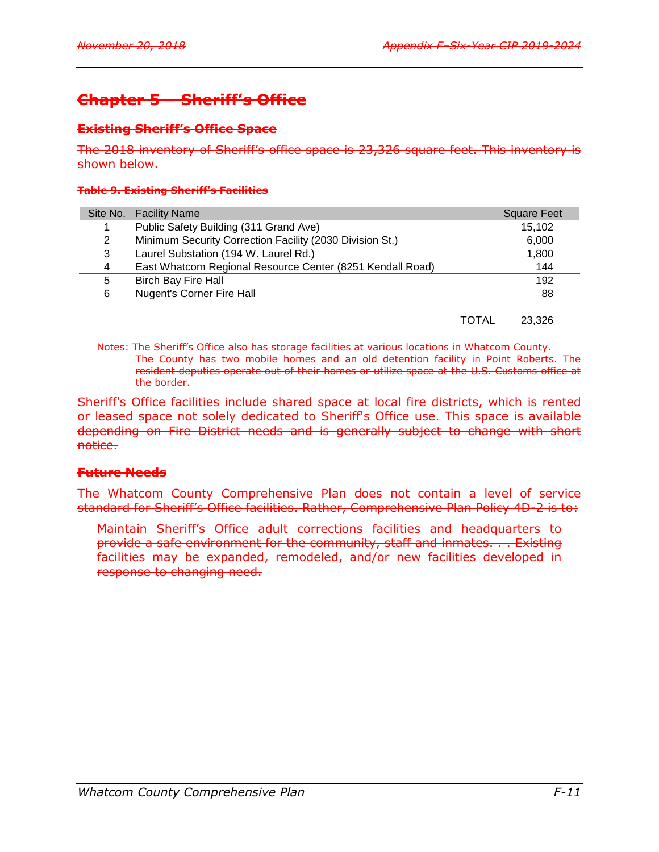# **Chapter 5 – Sheriff's Office**

### **Existing Sheriff's Office Space**

The 2018 inventory of Sheriff's office space is 23,326 square feet. This inventory is shown below.

#### **Table 9. Existing Sheriff's Facilities**

|   | Site No. Facility Name                                    |       | <b>Square Feet</b> |
|---|-----------------------------------------------------------|-------|--------------------|
|   | Public Safety Building (311 Grand Ave)                    |       | 15,102             |
| 2 | Minimum Security Correction Facility (2030 Division St.)  |       | 6,000              |
| 3 | Laurel Substation (194 W. Laurel Rd.)                     |       | 1,800              |
| 4 | East Whatcom Regional Resource Center (8251 Kendall Road) |       | 144                |
| 5 | <b>Birch Bay Fire Hall</b>                                |       | 192                |
| 6 | <b>Nugent's Corner Fire Hall</b>                          |       | 88                 |
|   |                                                           |       |                    |
|   |                                                           | TOTAL | 23.326             |

Notes: The Sheriff's Office also has storage facilities at various locations in Whatcom County. The County has two mobile homes and an old detention facility in Point Roberts. The resident deputies operate out of their homes or utilize space at the U.S. Customs office at the border.

Sheriff's Office facilities include shared space at local fire districts, which is rented or leased space not solely dedicated to Sheriff's Office use. This space is available depending on Fire District needs and is generally subject to change with short notice.

### **Future Needs**

The Whatcom County Comprehensive Plan does not contain a level of service standard for Sheriff's Office facilities. Rather, Comprehensive Plan Policy 4D-2 is to:

Maintain Sheriff's Office adult corrections facilities and headquarters to provide a safe environment for the community, staff and inmates. . . Existing facilities may be expanded, remodeled, and/or new facilities developed in response to changing need.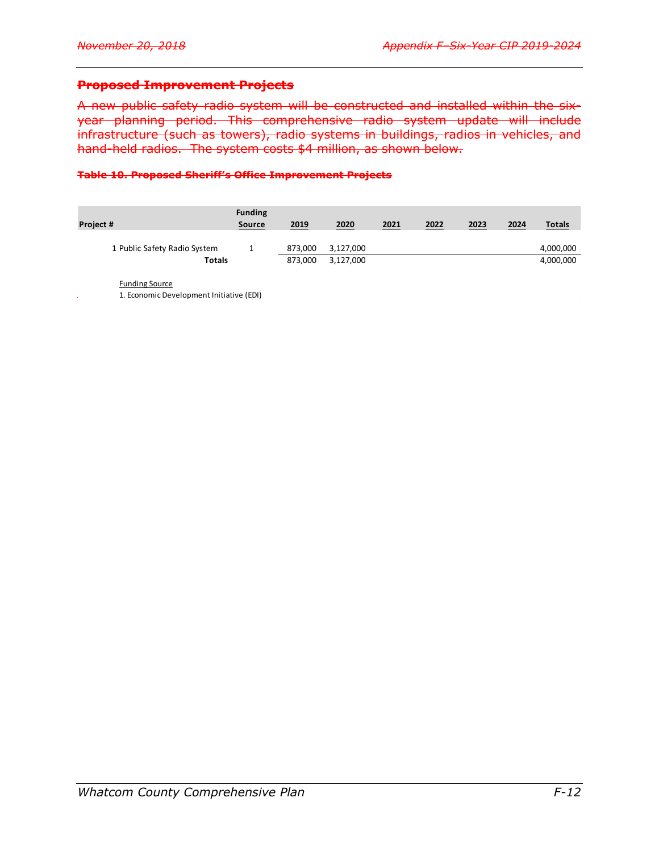### **Proposed Improvement Projects**

A new public safety radio system will be constructed and installed within the sixyear planning period. This comprehensive radio system update will include infrastructure (such as towers), radio systems in buildings, radios in vehicles, and hand-held radios. The system costs \$4 million, as shown below.

#### **Table 10. Proposed Sheriff's Office Improvement Projects**

| 2019    | 2020      | 2021 | 2022 | 2023 | 2024 | <b>Totals</b> |
|---------|-----------|------|------|------|------|---------------|
| 873.000 | 3,127,000 |      |      |      |      | 4,000,000     |
| 873,000 | 3,127,000 |      |      |      |      | 4,000,000     |
|         |           |      |      |      |      |               |

Funding Source

1. Economic Development Initiative (EDI)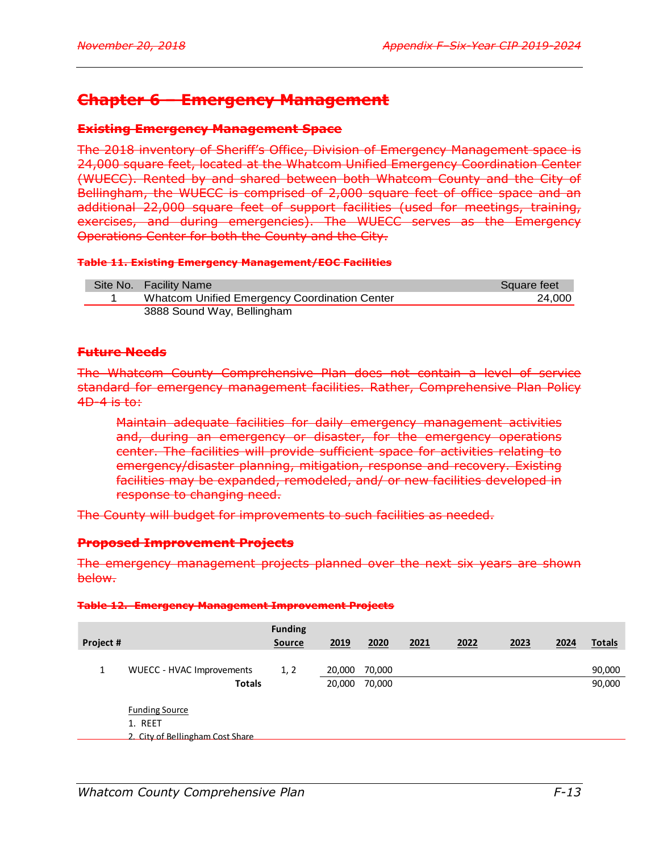# **Chapter 6 – Emergency Management**

### **Existing Emergency Management Space**

The 2018 inventory of Sheriff's Office, Division of Emergency Management space is 24,000 square feet, located at the Whatcom Unified Emergency Coordination Center (WUECC). Rented by and shared between both Whatcom County and the City of Bellingham, the WUECC is comprised of 2,000 square feet of office space and an additional 22,000 square feet of support facilities (used for meetings, training, exercises, and during emergencies). The WUECC serves as the Emergency Operations Center for both the County and the City.

### **Table 11. Existing Emergency Management/EOC Facilities**

| Site No. Facility Name                        | Square feet |
|-----------------------------------------------|-------------|
| Whatcom Unified Emergency Coordination Center | 24.000      |
| 3888 Sound Way, Bellingham                    |             |

# **Future Needs**

The Whatcom County Comprehensive Plan does not contain a level of service standard for emergency management facilities. Rather, Comprehensive Plan Policy 4D-4 is to:

Maintain adequate facilities for daily emergency management activities and, during an emergency or disaster, for the emergency operations center. The facilities will provide sufficient space for activities relating to emergency/disaster planning, mitigation, response and recovery. Existing facilities may be expanded, remodeled, and/ or new facilities developed in response to changing need.

The County will budget for improvements to such facilities as needed.

### **Proposed Improvement Projects**

The emergency management projects planned over the next six years are shown below.

#### **Table 12. Emergency Management Improvement Projects**

| Project # |                                                                      | <b>Funding</b><br><b>Source</b> | 2019   | 2020   | 2021 | 2022 | 2023 | 2024 | <b>Totals</b> |
|-----------|----------------------------------------------------------------------|---------------------------------|--------|--------|------|------|------|------|---------------|
|           |                                                                      |                                 |        |        |      |      |      |      |               |
| 1         | <b>WUECC - HVAC Improvements</b>                                     | 1, 2                            | 20,000 | 70,000 |      |      |      |      | 90,000        |
|           | <b>Totals</b>                                                        |                                 | 20,000 | 70,000 |      |      |      |      | 90,000        |
|           | <b>Funding Source</b><br>1. REET<br>2. City of Bellingham Cost Share |                                 |        |        |      |      |      |      |               |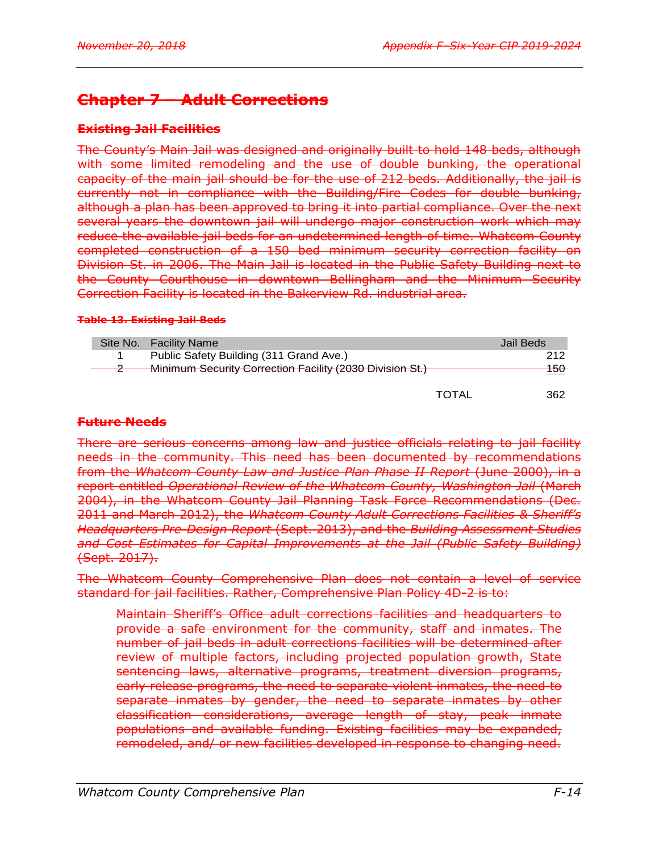# **Chapter 7 – Adult Corrections**

# **Existing Jail Facilities**

The County's Main Jail was designed and originally built to hold 148 beds, although with some limited remodeling and the use of double bunking, the operational capacity of the main jail should be for the use of 212 beds. Additionally, the jail is currently not in compliance with the Building/Fire Codes for double bunking, although a plan has been approved to bring it into partial compliance. Over the next several years the downtown jail will undergo major construction work which may reduce the available jail beds for an undetermined length of time. Whatcom County completed construction of a 150 bed minimum security correction facility on Division St. in 2006. The Main Jail is located in the Public Safety Building next to the County Courthouse in downtown Bellingham and the Minimum Security Correction Facility is located in the Bakerview Rd. industrial area.

### **Table 13. Existing Jail Beds**

|  | Site No. Facility Name                                   |       | Jail Beds.                     |
|--|----------------------------------------------------------|-------|--------------------------------|
|  | Public Safety Building (311 Grand Ave.)                  |       | 212                            |
|  | Minimum Security Correction Facility (2030 Division St.) |       | 150<br>$\overline{\mathsf{v}}$ |
|  |                                                          | TOTAI | 362                            |

### **Future Needs**

There are serious concerns among law and justice officials relating to jail facility needs in the community. This need has been documented by recommendations from the *Whatcom County Law and Justice Plan Phase II Report* (June 2000), in a report entitled *Operational Review of the Whatcom County, Washington Jail* (March 2004), in the Whatcom County Jail Planning Task Force Recommendations (Dec. 2011 and March 2012), the *Whatcom County Adult Corrections Facilities & Sheriff's Headquarters Pre-Design Report* (Sept. 2013), and the *Building Assessment Studies and Cost Estimates for Capital Improvements at the Jail (Public Safety Building)* (Sept. 2017).

The Whatcom County Comprehensive Plan does not contain a level of service standard for jail facilities. Rather, Comprehensive Plan Policy 4D-2 is to:

Maintain Sheriff's Office adult corrections facilities and headquarters to provide a safe environment for the community, staff and inmates. The number of jail beds in adult corrections facilities will be determined after review of multiple factors, including projected population growth, State sentencing laws, alternative programs, treatment diversion programs, early release programs, the need to separate violent inmates, the need to separate inmates by gender, the need to separate inmates by other classification considerations, average length of stay, peak inmate populations and available funding. Existing facilities may be expanded, remodeled, and/ or new facilities developed in response to changing need.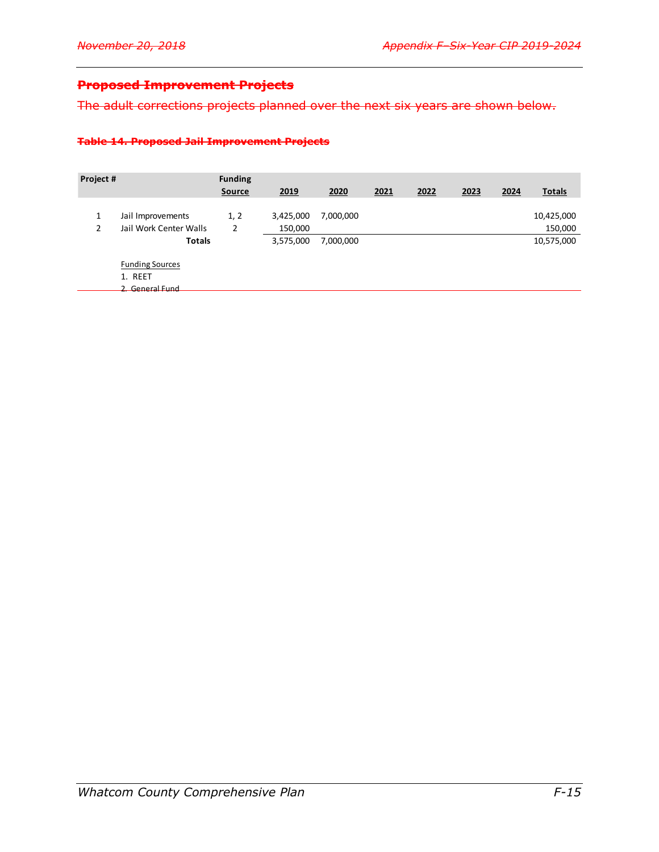# **Proposed Improvement Projects**

The adult corrections projects planned over the next six years are shown below.

#### **Table 14. Proposed Jail Improvement Projects**

| Project # |                        | <b>Funding</b> |           |           |      |      |      |      |               |
|-----------|------------------------|----------------|-----------|-----------|------|------|------|------|---------------|
|           |                        | Source         | 2019      | 2020      | 2021 | 2022 | 2023 | 2024 | <b>Totals</b> |
|           |                        |                |           |           |      |      |      |      |               |
| 1         | Jail Improvements      | 1, 2           | 3,425,000 | 7,000,000 |      |      |      |      | 10,425,000    |
| 2         | Jail Work Center Walls | 2              | 150,000   |           |      |      |      |      | 150,000       |
|           | <b>Totals</b>          |                | 3,575,000 | 7,000,000 |      |      |      |      | 10,575,000    |
|           | <b>Funding Sources</b> |                |           |           |      |      |      |      |               |
|           | 1. REET                |                |           |           |      |      |      |      |               |
|           | 2. General Eund        |                |           |           |      |      |      |      |               |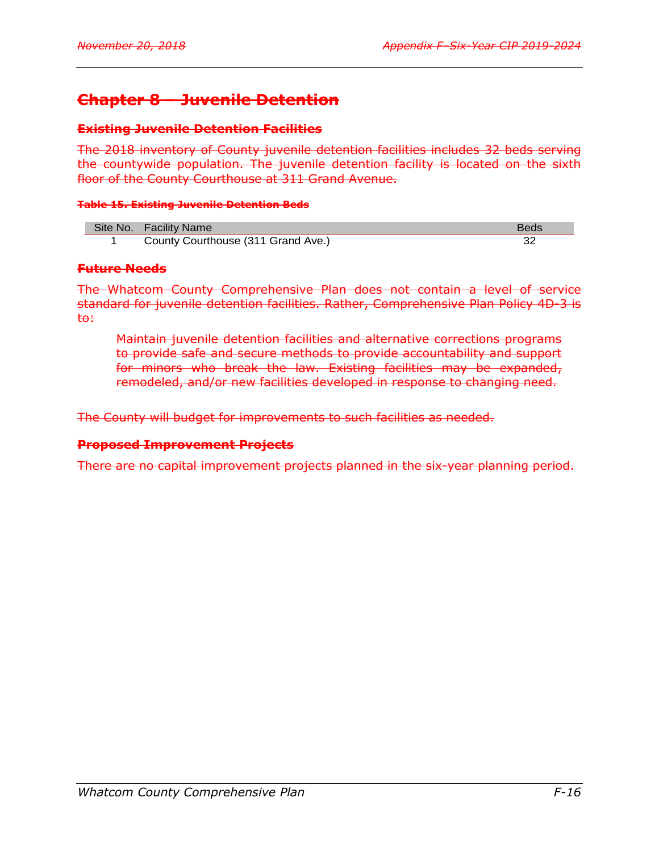# **Chapter 8 – Juvenile Detention**

### **Existing Juvenile Detention Facilities**

The 2018 inventory of County juvenile detention facilities includes 32 beds serving the countywide population. The juvenile detention facility is located on the sixth floor of the County Courthouse at 311 Grand Avenue.

### **Table 15. Existing Juvenile Detention Beds**

| Site No. Facility Name             | <b>Beds</b> |
|------------------------------------|-------------|
| County Courthouse (311 Grand Ave.) |             |

### **Future Needs**

The Whatcom County Comprehensive Plan does not contain a level of service standard for juvenile detention facilities. Rather, Comprehensive Plan Policy 4D-3 is to:

Maintain juvenile detention facilities and alternative corrections programs to provide safe and secure methods to provide accountability and support for minors who break the law. Existing facilities may be expanded, remodeled, and/or new facilities developed in response to changing need.

The County will budget for improvements to such facilities as needed.

### **Proposed Improvement Projects**

There are no capital improvement projects planned in the six-year planning period.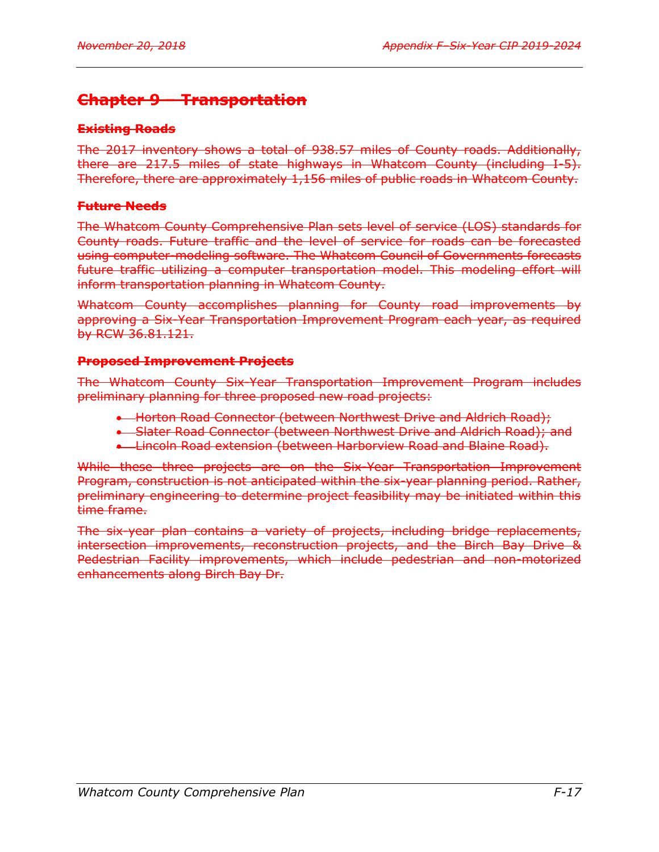# **Chapter 9 – Transportation**

# **Existing Roads**

The 2017 inventory shows a total of 938.57 miles of County roads. Additionally, there are 217.5 miles of state highways in Whatcom County (including I-5). Therefore, there are approximately 1,156 miles of public roads in Whatcom County.

# **Future Needs**

The Whatcom County Comprehensive Plan sets level of service (LOS) standards for County roads. Future traffic and the level of service for roads can be forecasted using computer-modeling software. The Whatcom Council of Governments forecasts future traffic utilizing a computer transportation model. This modeling effort will inform transportation planning in Whatcom County.

Whatcom County accomplishes planning for County road improvements by approving a Six-Year Transportation Improvement Program each year, as required by RCW 36.81.121.

# **Proposed Improvement Projects**

The Whatcom County Six-Year Transportation Improvement Program includes preliminary planning for three proposed new road projects:

- **-** Horton Road Connector (between Northwest Drive and Aldrich Road);
- Slater Road Connector (between Northwest Drive and Aldrich Road); and
- **-** Lincoln Road extension (between Harborview Road and Blaine Road).

While these three projects are on the Six-Year Transportation Improvement Program, construction is not anticipated within the six-year planning period. Rather, preliminary engineering to determine project feasibility may be initiated within this time frame.

The six-year plan contains a variety of projects, including bridge replacements, intersection improvements, reconstruction projects, and the Birch Bay Drive & Pedestrian Facility improvements, which include pedestrian and non-motorized enhancements along Birch Bay Dr.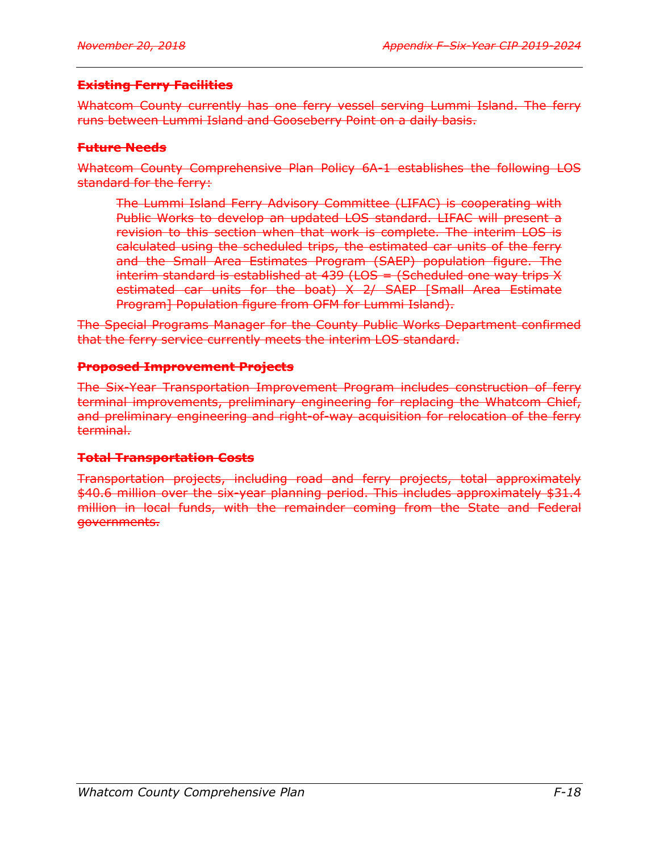# **Existing Ferry Facilities**

Whatcom County currently has one ferry vessel serving Lummi Island. The ferry runs between Lummi Island and Gooseberry Point on a daily basis.

# **Future Needs**

Whatcom County Comprehensive Plan Policy 6A-1 establishes the following LOS standard for the ferry:

The Lummi Island Ferry Advisory Committee (LIFAC) is cooperating with Public Works to develop an updated LOS standard. LIFAC will present a revision to this section when that work is complete. The interim LOS is calculated using the scheduled trips, the estimated car units of the ferry and the Small Area Estimates Program (SAEP) population figure. The interim standard is established at  $439$  (LOS = (Scheduled one way trips X estimated car units for the boat) X 2/ SAEP [Small Area Estimate Program] Population figure from OFM for Lummi Island).

The Special Programs Manager for the County Public Works Department confirmed that the ferry service currently meets the interim LOS standard.

# **Proposed Improvement Projects**

The Six-Year Transportation Improvement Program includes construction of ferry terminal improvements, preliminary engineering for replacing the Whatcom Chief, and preliminary engineering and right-of-way acquisition for relocation of the ferry terminal.

# **Total Transportation Costs**

Transportation projects, including road and ferry projects, total approximately \$40.6 million over the six-year planning period. This includes approximately \$31.4 million in local funds, with the remainder coming from the State and Federal governments.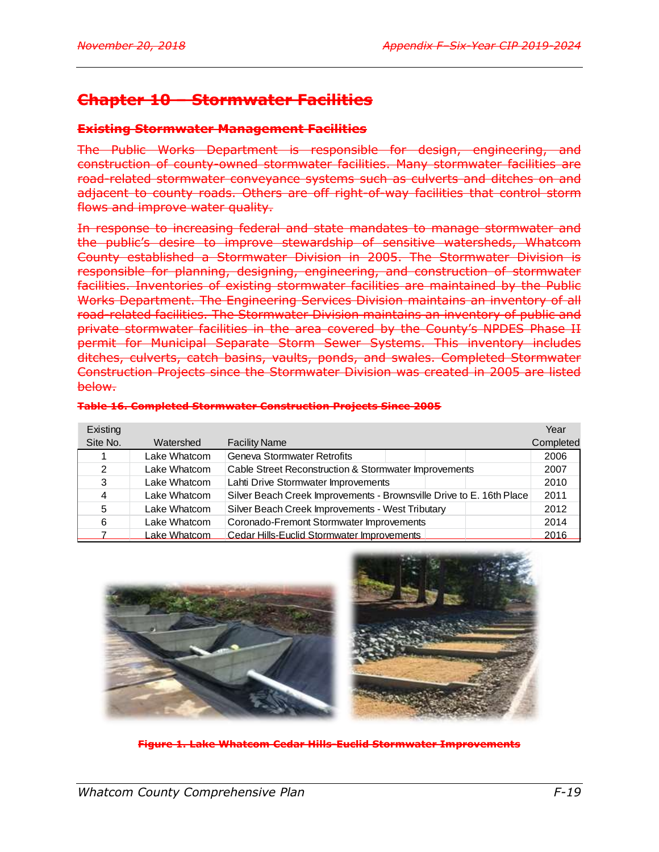# **Chapter 10 – Stormwater Facilities**

### **Existing Stormwater Management Facilities**

The Public Works Department is responsible for design, engineering, and construction of county-owned stormwater facilities. Many stormwater facilities are road-related stormwater conveyance systems such as culverts and ditches on and adjacent to county roads. Others are off right-of-way facilities that control storm flows and improve water quality.

In response to increasing federal and state mandates to manage stormwater and the public's desire to improve stewardship of sensitive watersheds, Whatcom County established a Stormwater Division in 2005. The Stormwater Division is responsible for planning, designing, engineering, and construction of stormwater facilities. Inventories of existing stormwater facilities are maintained by the Public Works Department. The Engineering Services Division maintains an inventory of all road-related facilities. The Stormwater Division maintains an inventory of public and private stormwater facilities in the area covered by the County's NPDES Phase II permit for Municipal Separate Storm Sewer Systems. This inventory includes ditches, culverts, catch basins, vaults, ponds, and swales. Completed Stormwater Construction Projects since the Stormwater Division was created in 2005 are listed below.

|  | Table 16, Completed Stermuster Construction Drejects Since 2005        |  |  |
|--|------------------------------------------------------------------------|--|--|
|  | <u>Table 10. Completed Stormwater Construction Frojects Since 2005</u> |  |  |

| Existing      |              |                                                                      | Year      |
|---------------|--------------|----------------------------------------------------------------------|-----------|
| Site No.      | Watershed    | <b>Facility Name</b>                                                 | Completed |
|               | Lake Whatcom | Geneva Stormwater Retrofits                                          | 2006      |
| $\mathcal{P}$ | Lake Whatcom | Cable Street Reconstruction & Stormwater Improvements                | 2007      |
| 3             | Lake Whatcom | Lahti Drive Stormwater Improvements                                  | 2010      |
| 4             | Lake Whatcom | Silver Beach Creek Improvements - Brownsville Drive to E. 16th Place | 2011      |
| 5             | Lake Whatcom | Silver Beach Creek Improvements - West Tributary                     | 2012      |
| 6             | Lake Whatcom | Coronado-Fremont Stormwater Improvements                             | 2014      |
|               | Lake Whatcom | Cedar Hills-Euclid Stormwater Improvements                           | 2016      |



**Figure 1. Lake Whatcom Cedar Hills-Euclid Stormwater Improvements**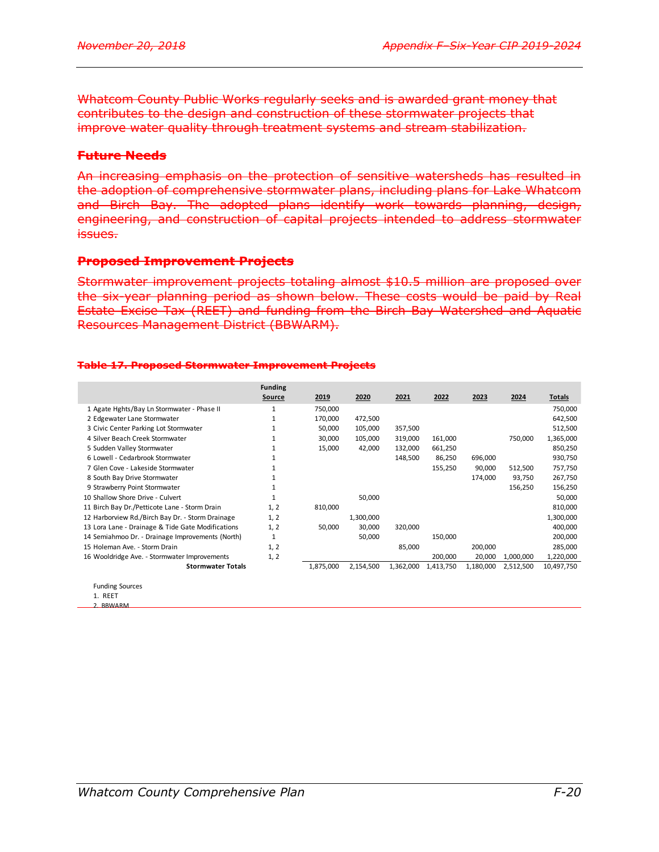Whatcom County Public Works regularly seeks and is awarded grant money that contributes to the design and construction of these stormwater projects that improve water quality through treatment systems and stream stabilization.

### **Future Needs**

An increasing emphasis on the protection of sensitive watersheds has resulted in the adoption of comprehensive stormwater plans, including plans for Lake Whatcom and Birch Bay. The adopted plans identify work towards planning, design, engineering, and construction of capital projects intended to address stormwater issues.

### **Proposed Improvement Projects**

Stormwater improvement projects totaling almost \$10.5 million are proposed over the six-year planning period as shown below. These costs would be paid by Real Estate Excise Tax (REET) and funding from the Birch Bay Watershed and Aquatic Resources Management District (BBWARM).

#### **Table 17. Proposed Stormwater Improvement Projects**

|                                                   | <b>Funding</b> |           |           |           |           |           |           |            |
|---------------------------------------------------|----------------|-----------|-----------|-----------|-----------|-----------|-----------|------------|
|                                                   | Source         | 2019      | 2020      | 2021      | 2022      | 2023      | 2024      | Totals     |
| 1 Agate Hghts/Bay Ln Stormwater - Phase II        |                | 750,000   |           |           |           |           |           | 750,000    |
| 2 Edgewater Lane Stormwater                       |                | 170,000   | 472,500   |           |           |           |           | 642,500    |
| 3 Civic Center Parking Lot Stormwater             |                | 50,000    | 105,000   | 357,500   |           |           |           | 512,500    |
| 4 Silver Beach Creek Stormwater                   |                | 30,000    | 105,000   | 319,000   | 161,000   |           | 750,000   | 1,365,000  |
| 5 Sudden Valley Stormwater                        |                | 15,000    | 42,000    | 132,000   | 661,250   |           |           | 850,250    |
| 6 Lowell - Cedarbrook Stormwater                  |                |           |           | 148,500   | 86,250    | 696,000   |           | 930,750    |
| 7 Glen Cove - Lakeside Stormwater                 |                |           |           |           | 155,250   | 90,000    | 512,500   | 757,750    |
| 8 South Bay Drive Stormwater                      |                |           |           |           |           | 174,000   | 93,750    | 267,750    |
| 9 Strawberry Point Stormwater                     |                |           |           |           |           |           | 156,250   | 156,250    |
| 10 Shallow Shore Drive - Culvert                  |                |           | 50,000    |           |           |           |           | 50,000     |
| 11 Birch Bay Dr./Petticote Lane - Storm Drain     | 1, 2           | 810,000   |           |           |           |           |           | 810,000    |
| 12 Harborview Rd./Birch Bay Dr. - Storm Drainage  | 1, 2           |           | 1,300,000 |           |           |           |           | 1,300,000  |
| 13 Lora Lane - Drainage & Tide Gate Modifications | 1, 2           | 50,000    | 30,000    | 320,000   |           |           |           | 400,000    |
| 14 Semiahmoo Dr. - Drainage Improvements (North)  | 1              |           | 50,000    |           | 150,000   |           |           | 200,000    |
| 15 Holeman Ave. - Storm Drain                     | 1, 2           |           |           | 85,000    |           | 200,000   |           | 285,000    |
| 16 Wooldridge Ave. - Stormwater Improvements      | 1, 2           |           |           |           | 200,000   | 20,000    | 1,000,000 | 1,220,000  |
| <b>Stormwater Totals</b>                          |                | 1,875,000 | 2,154,500 | 1,362,000 | 1,413,750 | 1,180,000 | 2,512,500 | 10,497,750 |
| <b>Eunding Sources</b>                            |                |           |           |           |           |           |           |            |

Funding Sources 1. REET

2. BBWARM